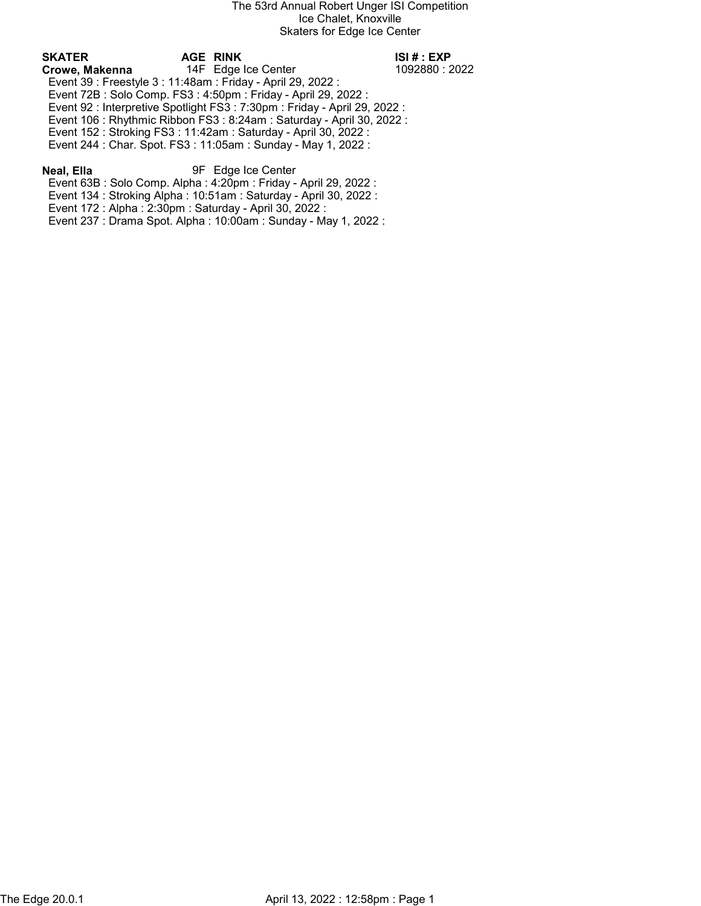# SKATER AGE RINK ISI # : EXP

Crowe, Makenna 14F Edge Ice Center 1092880 : 2022 Event 39 : Freestyle 3 : 11:48am : Friday - April 29, 2022 : Event 72B : Solo Comp. FS3 : 4:50pm : Friday - April 29, 2022 : Event 92 : Interpretive Spotlight FS3 : 7:30pm : Friday - April 29, 2022 : Event 106 : Rhythmic Ribbon FS3 : 8:24am : Saturday - April 30, 2022 :

Event 152 : Stroking FS3 : 11:42am : Saturday - April 30, 2022 :

Event 244 : Char. Spot. FS3 : 11:05am : Sunday - May 1, 2022 :

# Neal, Ella 9F Edge Ice Center

Event 63B : Solo Comp. Alpha : 4:20pm : Friday - April 29, 2022 :

Event 134 : Stroking Alpha : 10:51am : Saturday - April 30, 2022 :

Event 172 : Alpha : 2:30pm : Saturday - April 30, 2022 :

Event 237 : Drama Spot. Alpha : 10:00am : Sunday - May 1, 2022 :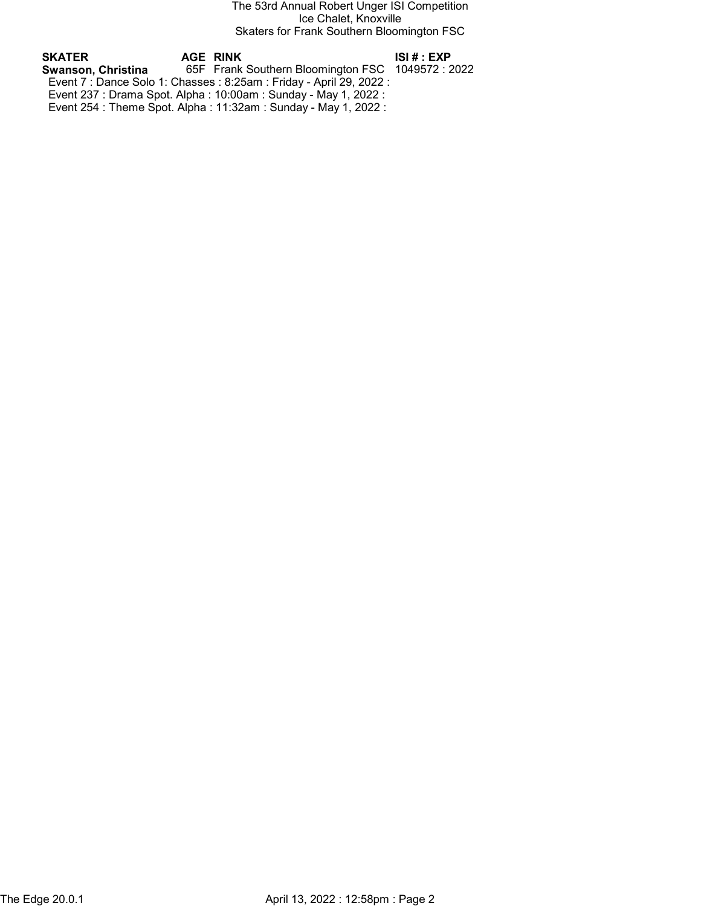The 53rd Annual Robert Unger ISI Competition Ice Chalet, Knoxville Skaters for Frank Southern Bloomington FSC

| SKATER             | AGE RINK                                                             | ISI # : EXP |
|--------------------|----------------------------------------------------------------------|-------------|
| Swanson. Christina | 65F Frank Southern Bloomington FSC 1049572 : 2022                    |             |
|                    | Event 7 : Dance Solo 1: Chasses : 8:25am : Friday - April 29, 2022 : |             |
|                    | Event 237 : Drama Spot. Alpha : 10:00am : Sunday - May 1, 2022 :     |             |
|                    | Event 254 : Theme Spot. Alpha : 11:32am : Sunday - May 1, 2022 :     |             |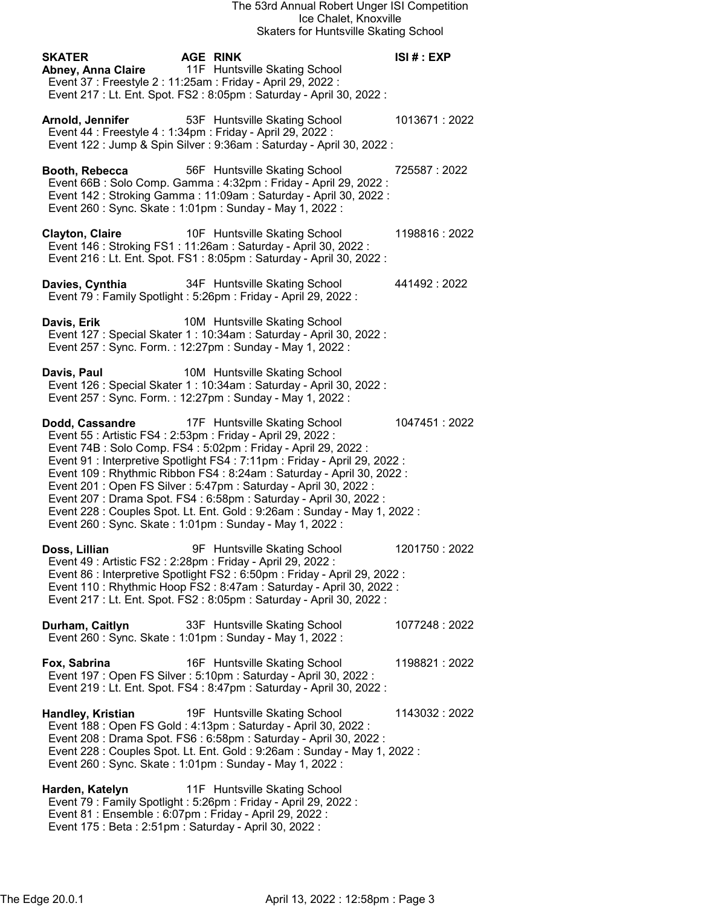| <b>SKATER</b>            | <b>AGE RINK</b><br>Abney, Anna Claire 11F Huntsville Skating School<br>Event 37 : Freestyle 2 : 11:25am : Friday - April 29, 2022 :<br>Event 217 : Lt. Ent. Spot. FS2 : 8:05pm : Saturday - April 30, 2022 :                                                                                                                                                                                                                                                                                                                                                                                                          | ISI# : EXP    |
|--------------------------|-----------------------------------------------------------------------------------------------------------------------------------------------------------------------------------------------------------------------------------------------------------------------------------------------------------------------------------------------------------------------------------------------------------------------------------------------------------------------------------------------------------------------------------------------------------------------------------------------------------------------|---------------|
| Arnold, Jennifer         | 53F Huntsville Skating School<br>Event 44 : Freestyle 4 : 1:34pm : Friday - April 29, 2022 :<br>Event 122 : Jump & Spin Silver : 9:36am : Saturday - April 30, 2022 :                                                                                                                                                                                                                                                                                                                                                                                                                                                 | 1013671:2022  |
| Booth, Rebecca           | 56F Huntsville Skating School<br>Event 66B : Solo Comp. Gamma : 4:32pm : Friday - April 29, 2022 :<br>Event 142 : Stroking Gamma : 11:09am : Saturday - April 30, 2022 :<br>Event 260 : Sync. Skate : 1:01pm : Sunday - May 1, 2022 :                                                                                                                                                                                                                                                                                                                                                                                 | 725587:2022   |
|                          | <b>Clayton, Claire</b> 10F Huntsville Skating School<br>Event 146 : Stroking FS1 : 11:26am : Saturday - April 30, 2022 :<br>Event 216 : Lt. Ent. Spot. FS1 : 8:05pm : Saturday - April 30, 2022 :                                                                                                                                                                                                                                                                                                                                                                                                                     | 1198816:2022  |
| Davies, Cynthia          | 34F Huntsville Skating School<br>Event 79 : Family Spotlight : 5:26pm : Friday - April 29, 2022 :                                                                                                                                                                                                                                                                                                                                                                                                                                                                                                                     | 441492:2022   |
| Davis, Erik              | 10M Huntsville Skating School<br>Event 127 : Special Skater 1 : 10:34am : Saturday - April 30, 2022 :<br>Event 257: Sync. Form.: 12:27pm: Sunday - May 1, 2022:                                                                                                                                                                                                                                                                                                                                                                                                                                                       |               |
| Davis, Paul              | 10M Huntsville Skating School<br>Event 126 : Special Skater 1 : 10:34am : Saturday - April 30, 2022 :<br>Event 257: Sync. Form.: 12:27pm: Sunday - May 1, 2022:                                                                                                                                                                                                                                                                                                                                                                                                                                                       |               |
|                          | Dodd, Cassandre 17F Huntsville Skating School<br>Event 55: Artistic FS4: 2:53pm: Friday - April 29, 2022:<br>Event 74B : Solo Comp. FS4 : 5:02pm : Friday - April 29, 2022 :<br>Event 91 : Interpretive Spotlight FS4 : 7:11pm : Friday - April 29, 2022 :<br>Event 109 : Rhythmic Ribbon FS4 : 8:24am : Saturday - April 30, 2022 :<br>Event 201: Open FS Silver: 5:47pm: Saturday - April 30, 2022:<br>Event 207 : Drama Spot. FS4 : 6:58pm : Saturday - April 30, 2022 :<br>Event 228 : Couples Spot. Lt. Ent. Gold : 9:26am : Sunday - May 1, 2022 :<br>Event 260 : Sync. Skate : 1:01pm : Sunday - May 1, 2022 : | 1047451:2022  |
| Doss, Lillian            | 9F Huntsville Skating School<br>Event 49 : Artistic FS2 : 2:28pm : Friday - April 29, 2022 :<br>Event 86 : Interpretive Spotlight FS2 : 6:50pm : Friday - April 29, 2022 :<br>Event 110: Rhythmic Hoop FS2: 8:47am: Saturday - April 30, 2022:<br>Event 217 : Lt. Ent. Spot. FS2 : 8:05pm : Saturday - April 30, 2022 :                                                                                                                                                                                                                                                                                               | 1201750: 2022 |
| Durham, Caitlyn          | 33F Huntsville Skating School<br>Event 260 : Sync. Skate : 1:01pm : Sunday - May 1, 2022 :                                                                                                                                                                                                                                                                                                                                                                                                                                                                                                                            | 1077248: 2022 |
| Fox, Sabrina             | 16F Huntsville Skating School<br>Event 197 : Open FS Silver : 5:10pm : Saturday - April 30, 2022 :<br>Event 219 : Lt. Ent. Spot. FS4 : 8:47pm : Saturday - April 30, 2022 :                                                                                                                                                                                                                                                                                                                                                                                                                                           | 1198821:2022  |
| <b>Handley, Kristian</b> | 19F Huntsville Skating School<br>Event 188 : Open FS Gold : 4:13pm : Saturday - April 30, 2022 :<br>Event 208 : Drama Spot. FS6 : 6:58pm : Saturday - April 30, 2022 :<br>Event 228 : Couples Spot. Lt. Ent. Gold : 9:26am : Sunday - May 1, 2022 :<br>Event 260 : Sync. Skate : 1:01pm : Sunday - May 1, 2022 :                                                                                                                                                                                                                                                                                                      | 1143032:2022  |
| Harden, Katelyn          | 11F Huntsville Skating School<br>Event 79 : Family Spotlight : 5:26pm : Friday - April 29, 2022 :<br>Event 81 : Ensemble : 6:07pm : Friday - April 29, 2022 :<br>Event 175 : Beta : 2:51pm : Saturday - April 30, 2022 :                                                                                                                                                                                                                                                                                                                                                                                              |               |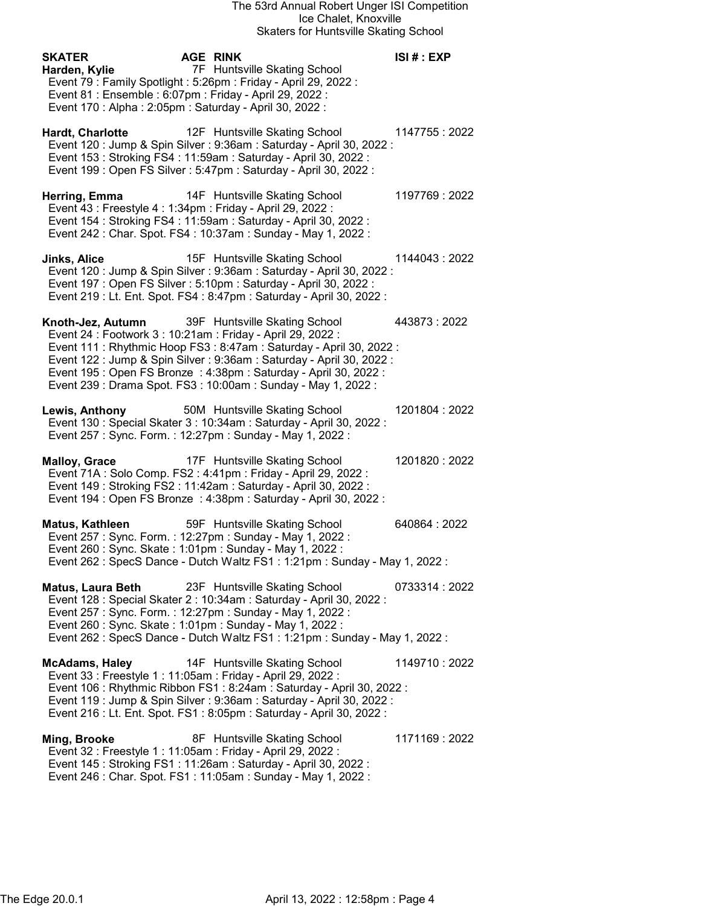| <b>SKATER</b><br>Harden, Kylie<br>Event 81 : Ensemble : 6:07pm : Friday - April 29, 2022 :<br>Event 170 : Alpha : 2:05pm : Saturday - April 30, 2022 : | <b>AGE RINK</b><br>7F Huntsville Skating School<br>Event 79 : Family Spotlight : 5:26pm : Friday - April 29, 2022 :                                                                                                                                                                                                   | ISI#:EXP       |
|--------------------------------------------------------------------------------------------------------------------------------------------------------|-----------------------------------------------------------------------------------------------------------------------------------------------------------------------------------------------------------------------------------------------------------------------------------------------------------------------|----------------|
| Hardt, Charlotte                                                                                                                                       | 12F Huntsville Skating School<br>Event 120 : Jump & Spin Silver : 9:36am : Saturday - April 30, 2022 :<br>Event 153: Stroking FS4: 11:59am: Saturday - April 30, 2022:<br>Event 199 : Open FS Silver : 5:47pm : Saturday - April 30, 2022 :                                                                           | 1147755: 2022  |
| Herring, Emma<br>Event 43 : Freestyle 4 : 1:34pm : Friday - April 29, 2022 :                                                                           | 14F Huntsville Skating School<br>Event 154 : Stroking FS4 : 11:59am : Saturday - April 30, 2022 :<br>Event 242 : Char. Spot. FS4 : 10:37am : Sunday - May 1, 2022 :                                                                                                                                                   | 1197769: 2022  |
| Jinks, Alice                                                                                                                                           | 15F Huntsville Skating School<br>Event 120 : Jump & Spin Silver : 9:36am : Saturday - April 30, 2022 :<br>Event 197 : Open FS Silver : 5:10pm : Saturday - April 30, 2022 :<br>Event 219 : Lt. Ent. Spot. FS4 : 8:47pm : Saturday - April 30, 2022 :                                                                  | 1144043 : 2022 |
| Knoth-Jez, Autumn<br>Event 24 : Footwork 3 : 10:21am : Friday - April 29, 2022 :                                                                       | 39F Huntsville Skating School<br>Event 111 : Rhythmic Hoop FS3 : 8:47am : Saturday - April 30, 2022 :<br>Event 122 : Jump & Spin Silver : 9:36am : Saturday - April 30, 2022 :<br>Event 195 : Open FS Bronze : 4:38pm : Saturday - April 30, 2022 :<br>Event 239 : Drama Spot. FS3 : 10:00am : Sunday - May 1, 2022 : | 443873:2022    |
| Lewis, Anthony<br>Event 257: Sync. Form.: 12:27pm: Sunday - May 1, 2022:                                                                               | 50M Huntsville Skating School<br>Event 130 : Special Skater 3 : 10:34am : Saturday - April 30, 2022 :                                                                                                                                                                                                                 | 1201804: 2022  |
| <b>Malloy, Grace</b>                                                                                                                                   | 17F Huntsville Skating School<br>Event 71A: Solo Comp. FS2: 4:41pm: Friday - April 29, 2022:<br>Event 149 : Stroking FS2 : 11:42am : Saturday - April 30, 2022 :<br>Event 194 : Open FS Bronze : 4:38pm : Saturday - April 30, 2022 :                                                                                 | 1201820: 2022  |
| Matus, Kathleen<br>Event 257: Sync. Form.: 12:27pm: Sunday - May 1, 2022:<br>Event 260 : Sync. Skate : 1:01pm : Sunday - May 1, 2022 :                 | 59F Huntsville Skating School<br>Event 262 : SpecS Dance - Dutch Waltz FS1 : 1:21pm : Sunday - May 1, 2022 :                                                                                                                                                                                                          | 640864:2022    |
| <b>Matus, Laura Beth</b><br>Event 257: Sync. Form.: 12:27pm: Sunday - May 1, 2022:<br>Event 260 : Sync. Skate : 1:01pm : Sunday - May 1, 2022 :        | 23F Huntsville Skating School<br>Event 128 : Special Skater 2 : 10:34am : Saturday - April 30, 2022 :<br>Event 262 : SpecS Dance - Dutch Waltz FS1 : 1:21pm : Sunday - May 1, 2022 :                                                                                                                                  | 0733314:2022   |
| <b>McAdams, Haley</b><br>Event 33 : Freestyle 1 : 11:05am : Friday - April 29, 2022 :                                                                  | 14F Huntsville Skating School<br>Event 106 : Rhythmic Ribbon FS1 : 8:24am : Saturday - April 30, 2022 :<br>Event 119 : Jump & Spin Silver : 9:36am : Saturday - April 30, 2022 :<br>Event 216 : Lt. Ent. Spot. FS1 : 8:05pm : Saturday - April 30, 2022 :                                                             | 1149710:2022   |
| Ming, Brooke<br>Event 32 : Freestyle 1 : 11:05am : Friday - April 29, 2022 :                                                                           | 8F Huntsville Skating School                                                                                                                                                                                                                                                                                          | 1171169 : 2022 |

Event 145 : Stroking FS1 : 11:26am : Saturday - April 30, 2022 :

Event 246 : Char. Spot. FS1 : 11:05am : Sunday - May 1, 2022 :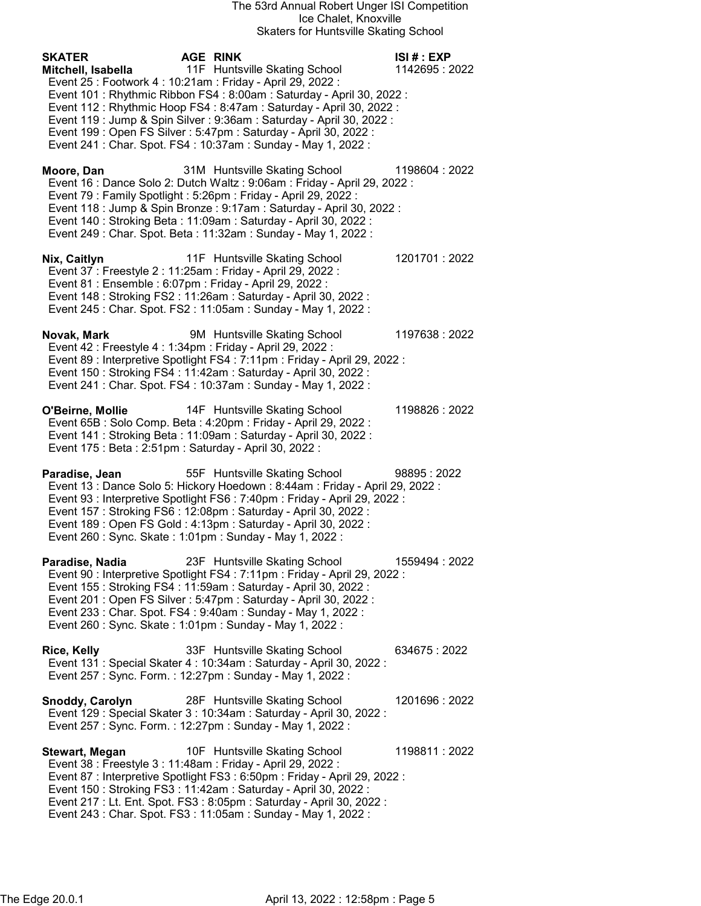## The 53rd Annual Robert Unger ISI Competition Ice Chalet, Knoxville Skaters for Huntsville Skating School

| Skaters for Huntsville Skating School                                                                                                                                                                                                                                                                                                                                                                                                                                                                                |                            |
|----------------------------------------------------------------------------------------------------------------------------------------------------------------------------------------------------------------------------------------------------------------------------------------------------------------------------------------------------------------------------------------------------------------------------------------------------------------------------------------------------------------------|----------------------------|
| <b>AGE RINK</b><br><b>SKATER</b><br>11F Huntsville Skating School<br>Mitchell, Isabella<br>Event 25 : Footwork 4 : 10:21am : Friday - April 29, 2022 :<br>Event 101: Rhythmic Ribbon FS4: 8:00am: Saturday - April 30, 2022:<br>Event 112 : Rhythmic Hoop FS4 : 8:47am : Saturday - April 30, 2022 :<br>Event 119 : Jump & Spin Silver : 9:36am : Saturday - April 30, 2022 :<br>Event 199 : Open FS Silver : 5:47pm : Saturday - April 30, 2022 :<br>Event 241 : Char. Spot. FS4 : 10:37am : Sunday - May 1, 2022 : | ISI# : EXP<br>1142695:2022 |
| 31M Huntsville Skating School<br>Moore, Dan<br>Event 16 : Dance Solo 2: Dutch Waltz : 9:06am : Friday - April 29, 2022 :<br>Event 79 : Family Spotlight : 5:26pm : Friday - April 29, 2022 :<br>Event 118 : Jump & Spin Bronze : 9:17am : Saturday - April 30, 2022 :<br>Event 140 : Stroking Beta : 11:09am : Saturday - April 30, 2022 :<br>Event 249 : Char. Spot. Beta : 11:32am : Sunday - May 1, 2022 :                                                                                                        | 1198604: 2022              |
| 11F Huntsville Skating School<br>Nix, Caitlyn<br>Event 37 : Freestyle 2 : 11:25am : Friday - April 29, 2022 :<br>Event 81 : Ensemble : 6:07pm : Friday - April 29, 2022 :<br>Event 148 : Stroking FS2 : 11:26am : Saturday - April 30, 2022 :<br>Event 245 : Char. Spot. FS2 : 11:05am : Sunday - May 1, 2022 :                                                                                                                                                                                                      | 1201701:2022               |
| 9M Huntsville Skating School<br>Novak, Mark<br>Event 42 : Freestyle 4 : 1:34pm : Friday - April 29, 2022 :<br>Event 89 : Interpretive Spotlight FS4 : 7:11pm : Friday - April 29, 2022 :<br>Event 150 : Stroking FS4 : 11:42am : Saturday - April 30, 2022 :<br>Event 241 : Char. Spot. FS4 : 10:37am : Sunday - May 1, 2022 :                                                                                                                                                                                       | 1197638:2022               |
| 14F Huntsville Skating School<br>O'Beirne, Mollie<br>Event 65B: Solo Comp. Beta: 4:20pm: Friday - April 29, 2022:<br>Event 141 : Stroking Beta : 11:09am : Saturday - April 30, 2022 :<br>Event 175 : Beta : 2:51pm : Saturday - April 30, 2022 :                                                                                                                                                                                                                                                                    | 1198826: 2022              |
| 55F Huntsville Skating School<br>Paradise, Jean<br>Event 13 : Dance Solo 5: Hickory Hoedown : 8:44am : Friday - April 29, 2022 :<br>Event 93 : Interpretive Spotlight FS6 : 7:40pm : Friday - April 29, 2022 :<br>Event 157: Stroking FS6: 12:08pm: Saturday - April 30, 2022:<br>Event 189 : Open FS Gold : 4:13pm : Saturday - April 30, 2022 :<br>Event 260 : Sync. Skate : 1:01pm : Sunday - May 1, 2022 :                                                                                                       | 98895:2022                 |
| 23F Huntsville Skating School<br>Paradise, Nadia<br>Event 90 : Interpretive Spotlight FS4 : 7:11pm : Friday - April 29, 2022 :<br>Event 155: Stroking FS4: 11:59am: Saturday - April 30, 2022:<br>Event 201 : Open FS Silver : 5:47pm : Saturday - April 30, 2022 :<br>Event 233: Char. Spot. FS4: 9:40am: Sunday - May 1, 2022:<br>Event 260 : Sync. Skate : 1:01pm : Sunday - May 1, 2022 :                                                                                                                        | 1559494: 2022              |
| 33F Huntsville Skating School<br><b>Rice, Kelly</b><br>Event 131 : Special Skater 4 : 10:34am : Saturday - April 30, 2022 :<br>Event 257: Sync. Form.: 12:27pm: Sunday - May 1, 2022:                                                                                                                                                                                                                                                                                                                                | 634675:2022                |
| 28F Huntsville Skating School<br><b>Snoddy, Carolyn</b><br>Event 129 : Special Skater 3 : 10:34am : Saturday - April 30, 2022 :<br>Event 257: Sync. Form.: 12:27pm: Sunday - May 1, 2022:                                                                                                                                                                                                                                                                                                                            | 1201696: 2022              |
| 10F Huntsville Skating School<br>Stewart, Megan<br>Event 38 : Freestyle 3 : 11:48am : Friday - April 29, 2022 :<br>Event 87 : Interpretive Spotlight FS3 : 6:50pm : Friday - April 29, 2022 :<br>Event 150 : Stroking FS3 : 11:42am : Saturday - April 30, 2022 :                                                                                                                                                                                                                                                    | 1198811:2022               |

 Event 217 : Lt. Ent. Spot. FS3 : 8:05pm : Saturday - April 30, 2022 : Event 243 : Char. Spot. FS3 : 11:05am : Sunday - May 1, 2022 :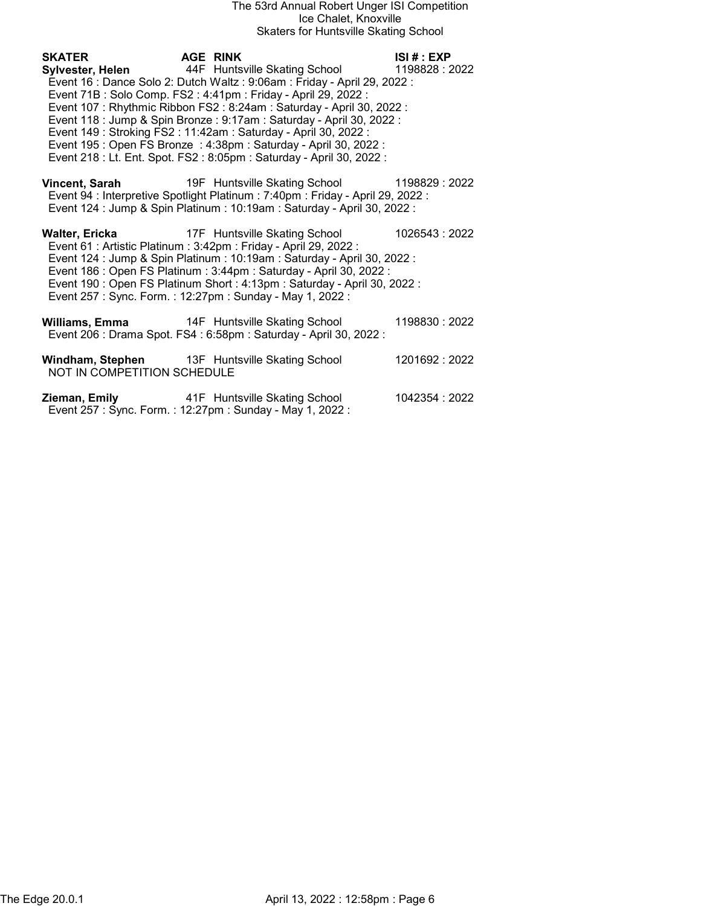## The 53rd Annual Robert Unger ISI Competition Ice Chalet, Knoxville Skaters for Huntsville Skating School

SKATER AGE RINK ISI # : EXP Sylvester, Helen 44F Huntsville Skating School 1198828 : 2022 Event 16 : Dance Solo 2: Dutch Waltz : 9:06am : Friday - April 29, 2022 : Event 71B : Solo Comp. FS2 : 4:41pm : Friday - April 29, 2022 : Event 107 : Rhythmic Ribbon FS2 : 8:24am : Saturday - April 30, 2022 : Event 118 : Jump & Spin Bronze : 9:17am : Saturday - April 30, 2022 : Event 149 : Stroking FS2 : 11:42am : Saturday - April 30, 2022 : Event 195 : Open FS Bronze : 4:38pm : Saturday - April 30, 2022 : Event 218 : Lt. Ent. Spot. FS2 : 8:05pm : Saturday - April 30, 2022 : Vincent, Sarah 19F Huntsville Skating School 1198829 : 2022 Event 94 : Interpretive Spotlight Platinum : 7:40pm : Friday - April 29, 2022 : Event 124 : Jump & Spin Platinum : 10:19am : Saturday - April 30, 2022 : Walter, Ericka **17F** Huntsville Skating School 1026543 : 2022 Event 61 : Artistic Platinum : 3:42pm : Friday - April 29, 2022 : Event 124 : Jump & Spin Platinum : 10:19am : Saturday - April 30, 2022 :

- Event 186 : Open FS Platinum : 3:44pm : Saturday April 30, 2022 : Event 190 : Open FS Platinum Short : 4:13pm : Saturday - April 30, 2022 : Event 257 : Sync. Form. : 12:27pm : Sunday - May 1, 2022 :
- Williams, Emma 14F Huntsville Skating School 1198830 : 2022 Event 206 : Drama Spot. FS4 : 6:58pm : Saturday - April 30, 2022 :
- Windham, Stephen 13F Huntsville Skating School 1201692 : 2022 NOT IN COMPETITION SCHEDULE
- **Zieman, Emily 100 415 Huntsville Skating School 1042354 : 2022** Event 257 : Sync. Form. : 12:27pm : Sunday - May 1, 2022 :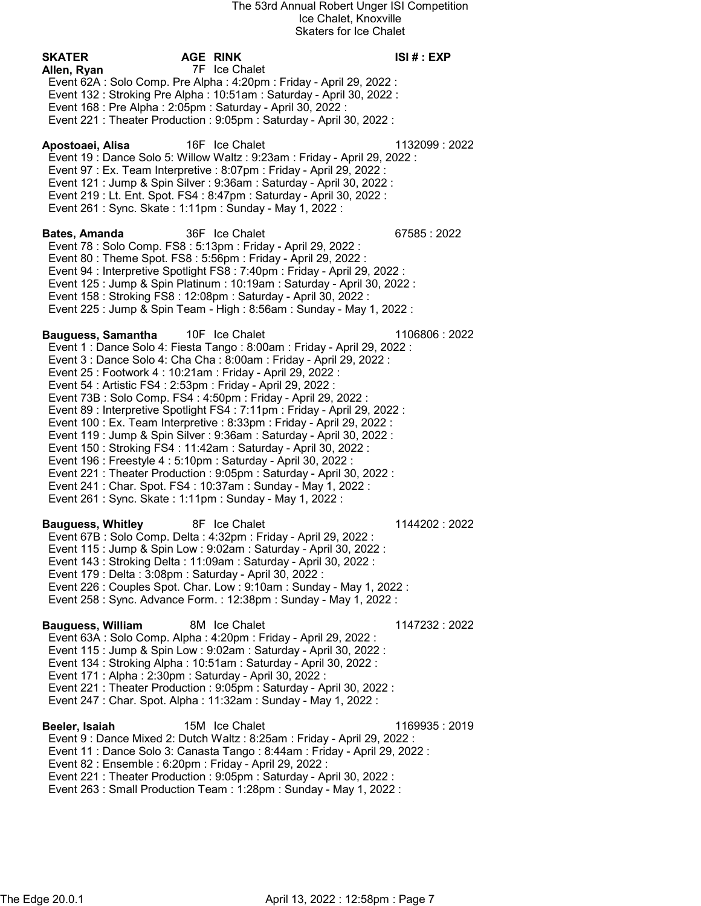SKATER AGE RINK ISI # : EXP Allen, Ryan 7F Ice Chalet Event 62A : Solo Comp. Pre Alpha : 4:20pm : Friday - April 29, 2022 : Event 132 : Stroking Pre Alpha : 10:51am : Saturday - April 30, 2022 : Event 168 : Pre Alpha : 2:05pm : Saturday - April 30, 2022 : Event 221 : Theater Production : 9:05pm : Saturday - April 30, 2022 : Apostoaei, Alisa 16F Ice Chalet 1132099 : 2022 Event 19 : Dance Solo 5: Willow Waltz : 9:23am : Friday - April 29, 2022 : Event 97 : Ex. Team Interpretive : 8:07pm : Friday - April 29, 2022 : Event 121 : Jump & Spin Silver : 9:36am : Saturday - April 30, 2022 : Event 219 : Lt. Ent. Spot. FS4 : 8:47pm : Saturday - April 30, 2022 : Event 261 : Sync. Skate : 1:11pm : Sunday - May 1, 2022 : Bates, Amanda 36F Ice Chalet 67585 : 2022 Event 78 : Solo Comp. FS8 : 5:13pm : Friday - April 29, 2022 : Event 80 : Theme Spot. FS8 : 5:56pm : Friday - April 29, 2022 : Event 94 : Interpretive Spotlight FS8 : 7:40pm : Friday - April 29, 2022 : Event 125 : Jump & Spin Platinum : 10:19am : Saturday - April 30, 2022 : Event 158 : Stroking FS8 : 12:08pm : Saturday - April 30, 2022 : Event 225 : Jump & Spin Team - High : 8:56am : Sunday - May 1, 2022 : Bauguess, Samantha 10F Ice Chalet 1106806 : 2022 Event 1 : Dance Solo 4: Fiesta Tango : 8:00am : Friday - April 29, 2022 : Event 3 : Dance Solo 4: Cha Cha : 8:00am : Friday - April 29, 2022 : Event 25 : Footwork 4 : 10:21am : Friday - April 29, 2022 : Event 54 : Artistic FS4 : 2:53pm : Friday - April 29, 2022 : Event 73B : Solo Comp. FS4 : 4:50pm : Friday - April 29, 2022 : Event 89 : Interpretive Spotlight FS4 : 7:11pm : Friday - April 29, 2022 : Event 100 : Ex. Team Interpretive : 8:33pm : Friday - April 29, 2022 : Event 119 : Jump & Spin Silver : 9:36am : Saturday - April 30, 2022 : Event 150 : Stroking FS4 : 11:42am : Saturday - April 30, 2022 : Event 196 : Freestyle 4 : 5:10pm : Saturday - April 30, 2022 : Event 221 : Theater Production : 9:05pm : Saturday - April 30, 2022 : Event 241 : Char. Spot. FS4 : 10:37am : Sunday - May 1, 2022 : Event 261 : Sync. Skate : 1:11pm : Sunday - May 1, 2022 : Bauguess, Whitley **8F** Ice Chalet **1144202** : 2022 Event 67B : Solo Comp. Delta : 4:32pm : Friday - April 29, 2022 : Event 115 : Jump & Spin Low : 9:02am : Saturday - April 30, 2022 : Event 143 : Stroking Delta : 11:09am : Saturday - April 30, 2022 : Event 179 : Delta : 3:08pm : Saturday - April 30, 2022 : Event 226 : Couples Spot. Char. Low : 9:10am : Sunday - May 1, 2022 : Event 258 : Sync. Advance Form. : 12:38pm : Sunday - May 1, 2022 : Bauguess, William 8M Ice Chalet 1147232 : 2022 Event 63A : Solo Comp. Alpha : 4:20pm : Friday - April 29, 2022 : Event 115 : Jump & Spin Low : 9:02am : Saturday - April 30, 2022 : Event 134 : Stroking Alpha : 10:51am : Saturday - April 30, 2022 : Event 171 : Alpha : 2:30pm : Saturday - April 30, 2022 : Event 221 : Theater Production : 9:05pm : Saturday - April 30, 2022 : Event 247 : Char. Spot. Alpha : 11:32am : Sunday - May 1, 2022 : Beeler, Isaiah 15M Ice Chalet 1169935 : 2019 Event 9 : Dance Mixed 2: Dutch Waltz : 8:25am : Friday - April 29, 2022 : Event 11 : Dance Solo 3: Canasta Tango : 8:44am : Friday - April 29, 2022 : Event 82 : Ensemble : 6:20pm : Friday - April 29, 2022 : Event 221 : Theater Production : 9:05pm : Saturday - April 30, 2022 : Event 263 : Small Production Team : 1:28pm : Sunday - May 1, 2022 :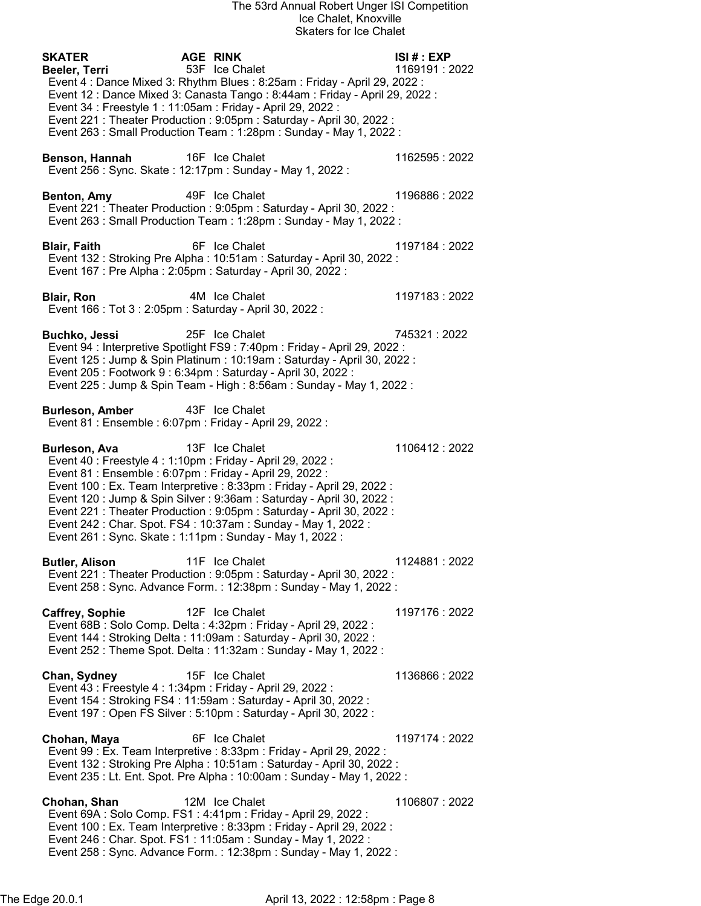| <b>SKATER</b>                                                                                                                                                                                         | <b>AGE RINK</b>                                                                                                                                                                                                                                                                                                    | ISI#: EXP      |
|-------------------------------------------------------------------------------------------------------------------------------------------------------------------------------------------------------|--------------------------------------------------------------------------------------------------------------------------------------------------------------------------------------------------------------------------------------------------------------------------------------------------------------------|----------------|
| Beeler, Terri                                                                                                                                                                                         | 53F Ice Chalet<br>Event 4 : Dance Mixed 3: Rhythm Blues : 8:25am : Friday - April 29, 2022 :                                                                                                                                                                                                                       | 1169191:2022   |
|                                                                                                                                                                                                       | Event 12 : Dance Mixed 3: Canasta Tango : 8:44am : Friday - April 29, 2022 :                                                                                                                                                                                                                                       |                |
| Event 34 : Freestyle 1 : 11:05am : Friday - April 29, 2022 :                                                                                                                                          |                                                                                                                                                                                                                                                                                                                    |                |
|                                                                                                                                                                                                       | Event 221 : Theater Production : 9:05pm : Saturday - April 30, 2022 :<br>Event 263 : Small Production Team : 1:28pm : Sunday - May 1, 2022 :                                                                                                                                                                       |                |
| Benson, Hannah                                                                                                                                                                                        | 16F Ice Chalet<br>Event 256 : Sync. Skate : 12:17pm : Sunday - May 1, 2022 :                                                                                                                                                                                                                                       | 1162595: 2022  |
|                                                                                                                                                                                                       |                                                                                                                                                                                                                                                                                                                    |                |
| Benton, Amy                                                                                                                                                                                           | 49F Ice Chalet<br>Event 221 : Theater Production : 9:05pm : Saturday - April 30, 2022 :<br>Event 263 : Small Production Team : 1:28pm : Sunday - May 1, 2022 :                                                                                                                                                     | 1196886: 2022  |
| <b>Blair, Faith</b>                                                                                                                                                                                   | 6F Ice Chalet<br>Event 132 : Stroking Pre Alpha : 10:51am : Saturday - April 30, 2022 :<br>Event 167 : Pre Alpha : 2:05pm : Saturday - April 30, 2022 :                                                                                                                                                            | 1197184: 2022  |
| <b>Blair, Ron</b><br>Event 166 : Tot 3 : 2:05pm : Saturday - April 30, 2022 :                                                                                                                         | 4M Ice Chalet                                                                                                                                                                                                                                                                                                      | 1197183: 2022  |
| <b>Buchko, Jessi</b>                                                                                                                                                                                  | 25F Ice Chalet<br>Event 94 : Interpretive Spotlight FS9 : 7:40pm : Friday - April 29, 2022 :<br>Event 125 : Jump & Spin Platinum : 10:19am : Saturday - April 30, 2022 :<br>Event 205 : Footwork 9 : 6:34pm : Saturday - April 30, 2022 :<br>Event 225 : Jump & Spin Team - High : 8:56am : Sunday - May 1, 2022 : | 745321 : 2022  |
| <b>Burleson, Amber</b><br>Event 81 : Ensemble : 6:07pm : Friday - April 29, 2022 :                                                                                                                    | 43F Ice Chalet                                                                                                                                                                                                                                                                                                     |                |
| Burleson, Ava<br>Event 40 : Freestyle 4 : 1:10pm : Friday - April 29, 2022 :<br>Event 81 : Ensemble : 6:07pm : Friday - April 29, 2022 :<br>Event 261 : Sync. Skate : 1:11pm : Sunday - May 1, 2022 : | 13F Ice Chalet<br>Event 100 : Ex. Team Interpretive : 8:33pm : Friday - April 29, 2022 :<br>Event 120 : Jump & Spin Silver : 9:36am : Saturday - April 30, 2022 :<br>Event 221 : Theater Production : 9:05pm : Saturday - April 30, 2022 :<br>Event 242 : Char. Spot. FS4 : 10:37am : Sunday - May 1, 2022 :       | 1106412:2022   |
| <b>Butler, Alison</b>                                                                                                                                                                                 | 11F Ice Chalet<br>Event 221 : Theater Production : 9:05pm : Saturday - April 30, 2022 :<br>Event 258 : Sync. Advance Form. : 12:38pm : Sunday - May 1, 2022 :                                                                                                                                                      | 1124881:2022   |
| Caffrey, Sophie                                                                                                                                                                                       | 12F Ice Chalet<br>Event 68B: Solo Comp. Delta: 4:32pm: Friday - April 29, 2022:<br>Event 144 : Stroking Delta : 11:09am : Saturday - April 30, 2022 :<br>Event 252 : Theme Spot. Delta : 11:32am : Sunday - May 1, 2022 :                                                                                          | 1197176:2022   |
| Chan, Sydney<br>Event 43 : Freestyle 4 : 1:34pm : Friday - April 29, 2022 :                                                                                                                           | 15F Ice Chalet<br>Event 154 : Stroking FS4 : 11:59am : Saturday - April 30, 2022 :<br>Event 197 : Open FS Silver : 5:10pm : Saturday - April 30, 2022 :                                                                                                                                                            | 1136866: 2022  |
| Chohan, Maya                                                                                                                                                                                          | 6F Ice Chalet<br>Event 99 : Ex. Team Interpretive : 8:33pm : Friday - April 29, 2022 :<br>Event 132 : Stroking Pre Alpha : 10:51am : Saturday - April 30, 2022 :<br>Event 235 : Lt. Ent. Spot. Pre Alpha : 10:00am : Sunday - May 1, 2022 :                                                                        | 1197174 : 2022 |
| Chohan, Shan                                                                                                                                                                                          | 12M Ice Chalet<br>Event 69A : Solo Comp. FS1 : 4:41pm : Friday - April 29, 2022 :<br>Event 100 : Ex. Team Interpretive : 8:33pm : Friday - April 29, 2022 :<br>Event 246 : Char. Spot. FS1 : 11:05am : Sunday - May 1, 2022 :<br>Event 258 : Sync. Advance Form. : 12:38pm : Sunday - May 1, 2022 :                | 1106807: 2022  |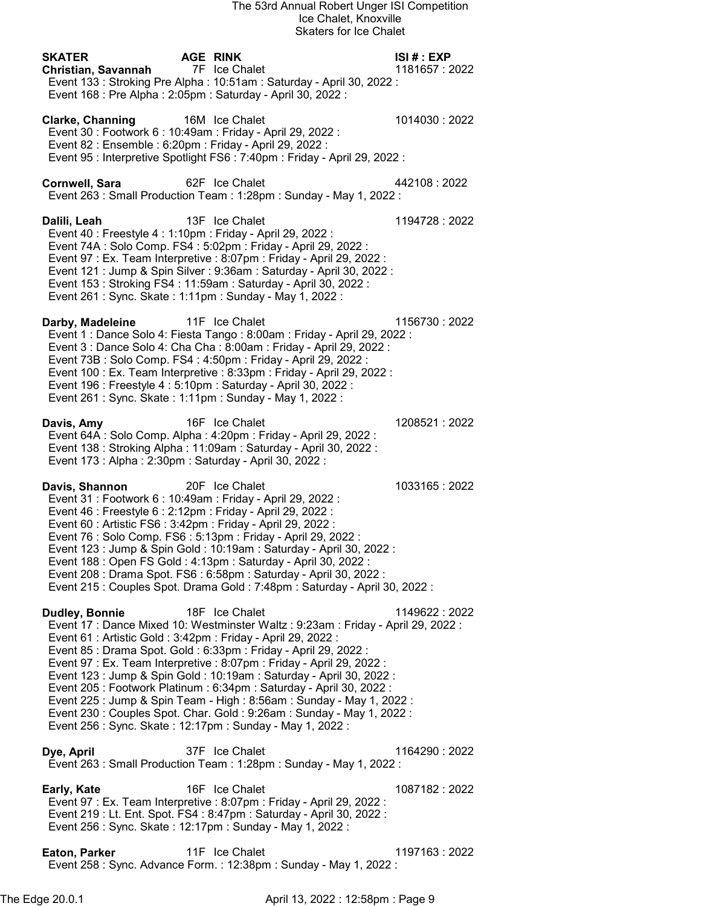| <b>SKATER</b><br>Christian, Savannah                                                                                                                                                                         | <b>AGE RINK</b><br>7F Ice Chalet<br>Event 133: Stroking Pre Alpha: 10:51am: Saturday - April 30, 2022:<br>Event 168 : Pre Alpha : 2:05pm : Saturday - April 30, 2022 :                                                                                                                                                                                                                                                                                                                                                                                                                                            | ISI# : EXP<br>1181657: 2022 |
|--------------------------------------------------------------------------------------------------------------------------------------------------------------------------------------------------------------|-------------------------------------------------------------------------------------------------------------------------------------------------------------------------------------------------------------------------------------------------------------------------------------------------------------------------------------------------------------------------------------------------------------------------------------------------------------------------------------------------------------------------------------------------------------------------------------------------------------------|-----------------------------|
| <b>Clarke, Channing</b><br>Event 30 : Footwork 6 : 10:49am : Friday - April 29, 2022 :<br>Event 82 : Ensemble : 6:20pm : Friday - April 29, 2022 :                                                           | 16M Ice Chalet<br>Event 95 : Interpretive Spotlight FS6 : 7:40pm : Friday - April 29, 2022 :                                                                                                                                                                                                                                                                                                                                                                                                                                                                                                                      | 1014030:2022                |
| <b>Cornwell, Sara</b>                                                                                                                                                                                        | 62F Ice Chalet<br>Event 263 : Small Production Team : 1:28pm : Sunday - May 1, 2022 :                                                                                                                                                                                                                                                                                                                                                                                                                                                                                                                             | 442108:2022                 |
| Dalili, Leah<br>Event 40 : Freestyle 4 : 1:10pm : Friday - April 29, 2022 :<br>Event 261 : Sync. Skate : 1:11pm : Sunday - May 1, 2022 :                                                                     | 13F Ice Chalet<br>Event 74A : Solo Comp. FS4 : 5:02pm : Friday - April 29, 2022 :<br>Event 97 : Ex. Team Interpretive : 8:07pm : Friday - April 29, 2022 :<br>Event 121 : Jump & Spin Silver : 9:36am : Saturday - April 30, 2022 :<br>Event 153 : Stroking FS4 : 11:59am : Saturday - April 30, 2022 :                                                                                                                                                                                                                                                                                                           | 1194728:2022                |
| Darby, Madeleine<br>Event 261 : Sync. Skate : 1:11pm : Sunday - May 1, 2022 :                                                                                                                                | 11F Ice Chalet<br>Event 1 : Dance Solo 4: Fiesta Tango : 8:00am : Friday - April 29, 2022 :<br>Event 3 : Dance Solo 4: Cha Cha : 8:00am : Friday - April 29, 2022 :<br>Event 73B: Solo Comp. FS4: 4:50pm: Friday - April 29, 2022:<br>Event 100 : Ex. Team Interpretive : 8:33pm : Friday - April 29, 2022 :<br>Event 196 : Freestyle 4 : 5:10pm : Saturday - April 30, 2022 :                                                                                                                                                                                                                                    | 1156730: 2022               |
| Davis, Amy<br>Event 173 : Alpha : 2:30pm : Saturday - April 30, 2022 :                                                                                                                                       | 16F Ice Chalet<br>Event 64A : Solo Comp. Alpha : 4:20pm : Friday - April 29, 2022 :<br>Event 138 : Stroking Alpha : 11:09am : Saturday - April 30, 2022 :                                                                                                                                                                                                                                                                                                                                                                                                                                                         | 1208521:2022                |
| Davis, Shannon<br>Event 31 : Footwork 6 : 10:49am : Friday - April 29, 2022 :<br>Event 46 : Freestyle 6 : 2:12pm : Friday - April 29, 2022 :<br>Event 60 : Artistic FS6 : 3:42pm : Friday - April 29, 2022 : | 20F Ice Chalet<br>Event 76 : Solo Comp. FS6 : 5:13pm : Friday - April 29, 2022 :<br>Event 123 : Jump & Spin Gold : 10:19am : Saturday - April 30, 2022 :<br>Event 188 : Open FS Gold : 4:13pm : Saturday - April 30, 2022 :<br>Event 208 : Drama Spot. FS6 : 6:58pm : Saturday - April 30, 2022 :<br>Event 215 : Couples Spot. Drama Gold : 7:48pm : Saturday - April 30, 2022 :                                                                                                                                                                                                                                  | 1033165:2022                |
| Dudley, Bonnie<br>Event 61 : Artistic Gold : 3:42pm : Friday - April 29, 2022 :                                                                                                                              | 18F Ice Chalet<br>Event 17 : Dance Mixed 10: Westminster Waltz : 9:23am : Friday - April 29, 2022 :<br>Event 85 : Drama Spot. Gold : 6:33pm : Friday - April 29, 2022 :<br>Event 97 : Ex. Team Interpretive : 8:07pm : Friday - April 29, 2022 :<br>Event 123 : Jump & Spin Gold : 10:19am : Saturday - April 30, 2022 :<br>Event 205 : Footwork Platinum : 6:34pm : Saturday - April 30, 2022 :<br>Event 225 : Jump & Spin Team - High : 8:56am : Sunday - May 1, 2022 :<br>Event 230 : Couples Spot. Char. Gold : 9:26am : Sunday - May 1, 2022 :<br>Event 256 : Sync. Skate : 12:17pm : Sunday - May 1, 2022 : | 1149622: 2022               |
| Dye, April                                                                                                                                                                                                   | 37F Ice Chalet<br>Event 263 : Small Production Team : 1:28pm : Sunday - May 1, 2022 :                                                                                                                                                                                                                                                                                                                                                                                                                                                                                                                             | 1164290 : 2022              |
| Early, Kate                                                                                                                                                                                                  | 16F Ice Chalet<br>Event 97 : Ex. Team Interpretive : 8:07pm : Friday - April 29, 2022 :<br>Event 219 : Lt. Ent. Spot. FS4 : 8:47pm : Saturday - April 30, 2022 :<br>Event 256 : Sync. Skate : 12:17pm : Sunday - May 1, 2022 :                                                                                                                                                                                                                                                                                                                                                                                    | 1087182: 2022               |
| Eaton, Parker                                                                                                                                                                                                | 11F Ice Chalet<br>Event 258 : Sync. Advance Form. : 12:38pm : Sunday - May 1, 2022 :                                                                                                                                                                                                                                                                                                                                                                                                                                                                                                                              | 1197163: 2022               |

The Edge 20.0.1 **April 13, 2022 : 12:58pm : Page 9**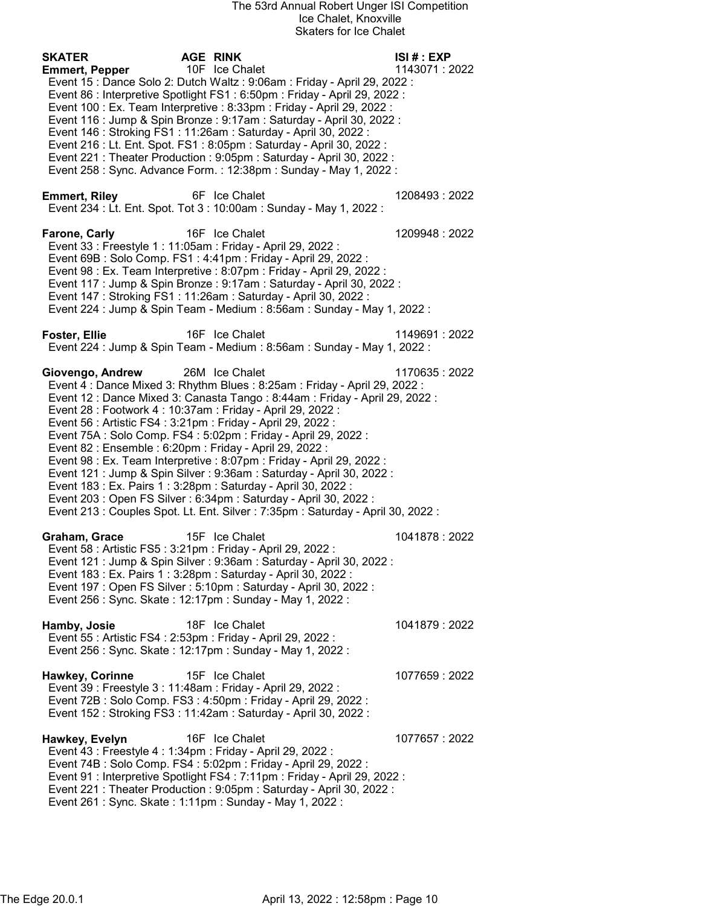| <b>SKATER</b><br><b>Emmert, Pepper</b> | <b>AGE RINK</b><br>10F Ice Chalet<br>Event 15 : Dance Solo 2: Dutch Waltz : 9:06am : Friday - April 29, 2022 :<br>Event 86 : Interpretive Spotlight FS1 : 6:50pm : Friday - April 29, 2022 :<br>Event 100 : Ex. Team Interpretive : 8:33pm : Friday - April 29, 2022 :                                                                                                                                                                                                                                                                                                                                                                                                                                                                                                                                                  | ISI#: EXP<br>1143071:2022 |
|----------------------------------------|-------------------------------------------------------------------------------------------------------------------------------------------------------------------------------------------------------------------------------------------------------------------------------------------------------------------------------------------------------------------------------------------------------------------------------------------------------------------------------------------------------------------------------------------------------------------------------------------------------------------------------------------------------------------------------------------------------------------------------------------------------------------------------------------------------------------------|---------------------------|
|                                        | Event 116 : Jump & Spin Bronze : 9:17am : Saturday - April 30, 2022 :<br>Event 146 : Stroking FS1 : 11:26am : Saturday - April 30, 2022 :<br>Event 216 : Lt. Ent. Spot. FS1 : 8:05pm : Saturday - April 30, 2022 :<br>Event 221 : Theater Production : 9:05pm : Saturday - April 30, 2022 :<br>Event 258 : Sync. Advance Form. : 12:38pm : Sunday - May 1, 2022 :                                                                                                                                                                                                                                                                                                                                                                                                                                                       |                           |
| <b>Emmert, Riley</b>                   | 6F Ice Chalet<br>Event 234 : Lt. Ent. Spot. Tot 3 : 10:00am : Sunday - May 1, 2022 :                                                                                                                                                                                                                                                                                                                                                                                                                                                                                                                                                                                                                                                                                                                                    | 1208493: 2022             |
| Farone, Carly                          | 16F Ice Chalet<br>Event 33 : Freestyle 1 : 11:05am : Friday - April 29, 2022 :<br>Event 69B : Solo Comp. FS1 : 4:41pm : Friday - April 29, 2022 :<br>Event 98 : Ex. Team Interpretive : 8:07pm : Friday - April 29, 2022 :<br>Event 117 : Jump & Spin Bronze : 9:17am : Saturday - April 30, 2022 :<br>Event 147: Stroking FS1: 11:26am: Saturday - April 30, 2022:<br>Event 224 : Jump & Spin Team - Medium : 8:56am : Sunday - May 1, 2022 :                                                                                                                                                                                                                                                                                                                                                                          | 1209948: 2022             |
| <b>Foster, Ellie</b>                   | 16F Ice Chalet<br>Event 224 : Jump & Spin Team - Medium : 8:56am : Sunday - May 1, 2022 :                                                                                                                                                                                                                                                                                                                                                                                                                                                                                                                                                                                                                                                                                                                               | 1149691:2022              |
| Giovengo, Andrew                       | 26M Ice Chalet<br>Event 4 : Dance Mixed 3: Rhythm Blues : 8:25am : Friday - April 29, 2022 :<br>Event 12 : Dance Mixed 3: Canasta Tango : 8:44am : Friday - April 29, 2022 :<br>Event 28 : Footwork 4 : 10:37am : Friday - April 29, 2022 :<br>Event 56 : Artistic FS4 : 3:21pm : Friday - April 29, 2022 :<br>Event 75A : Solo Comp. FS4 : 5:02pm : Friday - April 29, 2022 :<br>Event 82 : Ensemble : 6:20pm : Friday - April 29, 2022 :<br>Event 98 : Ex. Team Interpretive : 8:07pm : Friday - April 29, 2022 :<br>Event 121 : Jump & Spin Silver : 9:36am : Saturday - April 30, 2022 :<br>Event 183 : Ex. Pairs 1 : 3:28pm : Saturday - April 30, 2022 :<br>Event 203 : Open FS Silver : 6:34pm : Saturday - April 30, 2022 :<br>Event 213 : Couples Spot. Lt. Ent. Silver : 7:35pm : Saturday - April 30, 2022 : | 1170635:2022              |
| Graham, Grace                          | 15F Ice Chalet<br>Event 58 : Artistic FS5 : 3:21pm : Friday - April 29, 2022 :<br>Event 121 : Jump & Spin Silver : 9:36am : Saturday - April 30, 2022 :<br>Event 183 : Ex. Pairs 1 : 3:28pm : Saturday - April 30, 2022 :<br>Event 197 : Open FS Silver : 5:10pm : Saturday - April 30, 2022 :<br>Event 256 : Sync. Skate : 12:17pm : Sunday - May 1, 2022 :                                                                                                                                                                                                                                                                                                                                                                                                                                                            | 1041878:2022              |
| Hamby, Josie                           | 18F Ice Chalet<br>Event 55 : Artistic FS4 : 2:53pm : Friday - April 29, 2022 :<br>Event 256 : Sync. Skate : 12:17pm : Sunday - May 1, 2022 :                                                                                                                                                                                                                                                                                                                                                                                                                                                                                                                                                                                                                                                                            | 1041879:2022              |
| Hawkey, Corinne                        | 15F Ice Chalet<br>Event 39 : Freestyle 3 : 11:48am : Friday - April 29, 2022 :<br>Event 72B: Solo Comp. FS3: 4:50pm: Friday - April 29, 2022:<br>Event 152: Stroking FS3: 11:42am: Saturday - April 30, 2022:                                                                                                                                                                                                                                                                                                                                                                                                                                                                                                                                                                                                           | 1077659: 2022             |
| Hawkey, Evelyn                         | 16F Ice Chalet<br>Event 43 : Freestyle 4 : 1:34pm : Friday - April 29, 2022 :<br>Event 74B: Solo Comp. FS4: 5:02pm: Friday - April 29, 2022:<br>Event 91 : Interpretive Spotlight FS4 : 7:11pm : Friday - April 29, 2022 :<br>Event 221 : Theater Production : 9:05pm : Saturday - April 30, 2022 :<br>Event 261 : Sync. Skate : 1:11pm : Sunday - May 1, 2022 :                                                                                                                                                                                                                                                                                                                                                                                                                                                        | 1077657: 2022             |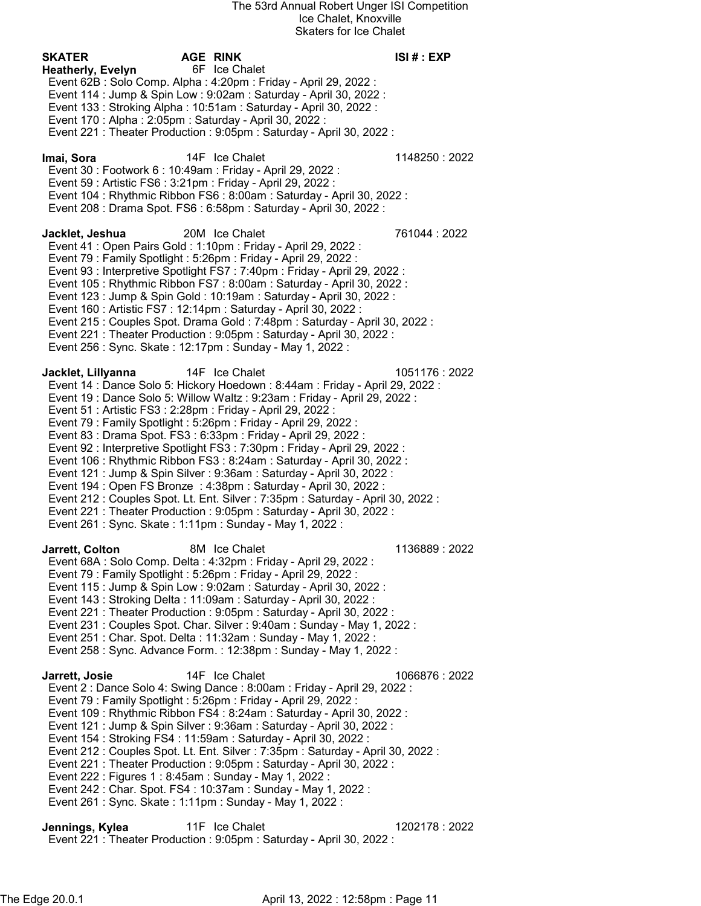| SKATER<br>Heatherly, Evelyn | AGE RINK<br>6F Ice Chalet<br>Event 62B: Solo Comp. Alpha: 4:20pm: Friday - April 29, 2022:<br>Event 114 : Jump & Spin Low : 9:02am : Saturday - April 30, 2022 :<br>Event 133: Stroking Alpha: 10:51am: Saturday - April 30, 2022:<br>Event 170 : Alpha : 2:05pm : Saturday - April 30, 2022 :<br>Event 221 : Theater Production : 9:05pm : Saturday - April 30, 2022 :                                                                                                                                                                                                                                                                                                                                                                                                                                                                                                                                              | ISI# : EXP    |
|-----------------------------|----------------------------------------------------------------------------------------------------------------------------------------------------------------------------------------------------------------------------------------------------------------------------------------------------------------------------------------------------------------------------------------------------------------------------------------------------------------------------------------------------------------------------------------------------------------------------------------------------------------------------------------------------------------------------------------------------------------------------------------------------------------------------------------------------------------------------------------------------------------------------------------------------------------------|---------------|
| lmai, Sora                  | 14F Ice Chalet<br>Event 30 : Footwork 6 : 10:49am : Friday - April 29, 2022 :<br>Event 59 : Artistic FS6 : 3:21pm : Friday - April 29, 2022 :<br>Event 104 : Rhythmic Ribbon FS6 : 8:00am : Saturday - April 30, 2022 :<br>Event 208 : Drama Spot. FS6 : 6:58pm : Saturday - April 30, 2022 :                                                                                                                                                                                                                                                                                                                                                                                                                                                                                                                                                                                                                        | 1148250:2022  |
| Jacklet, Jeshua             | 20M Ice Chalet<br>Event 41 : Open Pairs Gold : 1:10pm : Friday - April 29, 2022 :<br>Event 79 : Family Spotlight : 5:26pm : Friday - April 29, 2022 :<br>Event 93 : Interpretive Spotlight FS7 : 7:40pm : Friday - April 29, 2022 :<br>Event 105 : Rhythmic Ribbon FS7 : 8:00am : Saturday - April 30, 2022 :<br>Event 123 : Jump & Spin Gold : 10:19am : Saturday - April 30, 2022 :<br>Event 160 : Artistic FS7 : 12:14pm : Saturday - April 30, 2022 :<br>Event 215 : Couples Spot. Drama Gold : 7:48pm : Saturday - April 30, 2022 :<br>Event 221 : Theater Production : 9:05pm : Saturday - April 30, 2022 :<br>Event 256 : Sync. Skate : 12:17pm : Sunday - May 1, 2022 :                                                                                                                                                                                                                                      | 761044 : 2022 |
| Jacklet, Lillyanna          | 14F Ice Chalet<br>Event 14 : Dance Solo 5: Hickory Hoedown : 8:44am : Friday - April 29, 2022 :<br>Event 19 : Dance Solo 5: Willow Waltz : 9:23am : Friday - April 29, 2022 :<br>Event 51 : Artistic FS3 : 2:28pm : Friday - April 29, 2022 :<br>Event 79 : Family Spotlight : 5:26pm : Friday - April 29, 2022 :<br>Event 83 : Drama Spot. FS3 : 6:33pm : Friday - April 29, 2022 :<br>Event 92 : Interpretive Spotlight FS3 : 7:30pm : Friday - April 29, 2022 :<br>Event 106 : Rhythmic Ribbon FS3 : 8:24am : Saturday - April 30, 2022 :<br>Event 121 : Jump & Spin Silver : 9:36am : Saturday - April 30, 2022 :<br>Event 194 : Open FS Bronze : 4:38pm : Saturday - April 30, 2022 :<br>Event 212 : Couples Spot. Lt. Ent. Silver : 7:35pm : Saturday - April 30, 2022 :<br>Event 221 : Theater Production : 9:05pm : Saturday - April 30, 2022 :<br>Event 261 : Sync. Skate : 1:11pm : Sunday - May 1, 2022 : | 1051176: 2022 |
| Jarrett, Colton             | 8M Ice Chalet<br>Event 68A : Solo Comp. Delta : 4:32pm : Friday - April 29, 2022 :<br>Event 79 : Family Spotlight : 5:26pm : Friday - April 29, 2022 :<br>Event 115 : Jump & Spin Low : 9:02am : Saturday - April 30, 2022 :<br>Event 143 : Stroking Delta : 11:09am : Saturday - April 30, 2022 :<br>Event 221 : Theater Production : 9:05pm : Saturday - April 30, 2022 :<br>Event 231 : Couples Spot. Char. Silver : 9:40am : Sunday - May 1, 2022 :<br>Event 251 : Char. Spot. Delta : 11:32am : Sunday - May 1, 2022 :<br>Event 258 : Sync. Advance Form. : 12:38pm : Sunday - May 1, 2022 :                                                                                                                                                                                                                                                                                                                    | 1136889: 2022 |
| Jarrett, Josie              | 14F Ice Chalet<br>Event 2 : Dance Solo 4: Swing Dance : 8:00am : Friday - April 29, 2022 :<br>Event 79 : Family Spotlight : 5:26pm : Friday - April 29, 2022 :<br>Event 109 : Rhythmic Ribbon FS4 : 8:24am : Saturday - April 30, 2022 :<br>Event 121 : Jump & Spin Silver : 9:36am : Saturday - April 30, 2022 :<br>Event 154 : Stroking FS4 : 11:59am : Saturday - April 30, 2022 :<br>Event 212 : Couples Spot. Lt. Ent. Silver : 7:35pm : Saturday - April 30, 2022 :<br>Event 221 : Theater Production : 9:05pm : Saturday - April 30, 2022 :<br>Event 222 : Figures 1 : 8:45am : Sunday - May 1, 2022 :<br>Event 242 : Char. Spot. FS4 : 10:37am : Sunday - May 1, 2022 :<br>Event 261 : Sync. Skate : 1:11pm : Sunday - May 1, 2022 :                                                                                                                                                                         | 1066876: 2022 |
| Jennings, Kylea             | 11F Ice Chalet                                                                                                                                                                                                                                                                                                                                                                                                                                                                                                                                                                                                                                                                                                                                                                                                                                                                                                       | 1202178:2022  |

Event 221 : Theater Production : 9:05pm : Saturday - April 30, 2022 :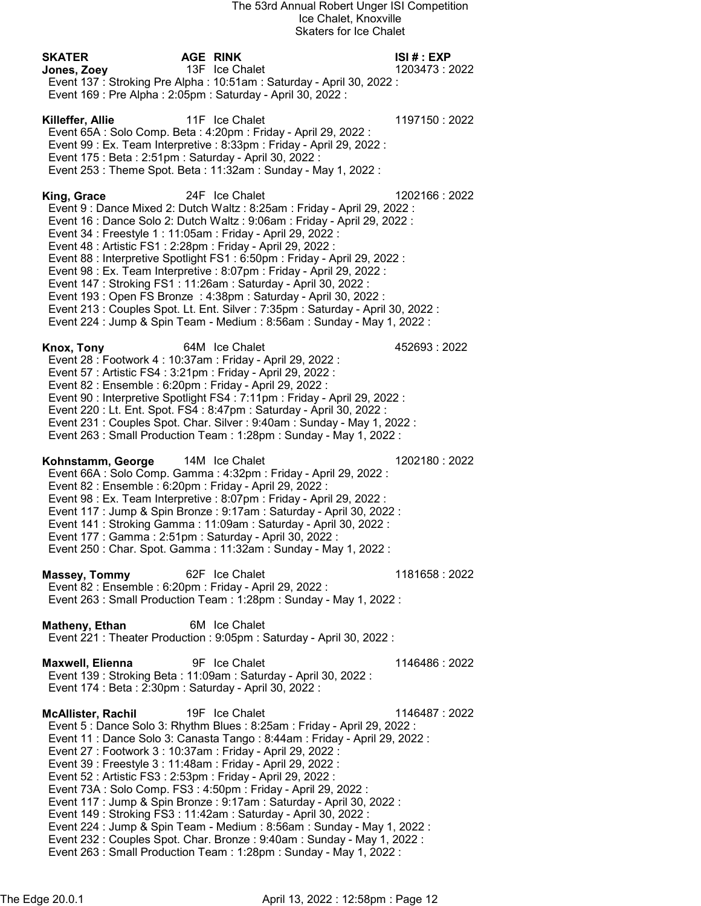| <b>SKATER</b>                                                                                                                                                                                                            | <b>AGE RINK</b>                                                                                                                                                                                                                                                                                                                                                                                                                                                                                                                                                                                                                     | ISI # : EXP    |
|--------------------------------------------------------------------------------------------------------------------------------------------------------------------------------------------------------------------------|-------------------------------------------------------------------------------------------------------------------------------------------------------------------------------------------------------------------------------------------------------------------------------------------------------------------------------------------------------------------------------------------------------------------------------------------------------------------------------------------------------------------------------------------------------------------------------------------------------------------------------------|----------------|
| Jones, Zoey                                                                                                                                                                                                              | 13F Ice Chalet<br>Event 137: Stroking Pre Alpha: 10:51am: Saturday - April 30, 2022:<br>Event 169 : Pre Alpha : 2:05pm : Saturday - April 30, 2022 :                                                                                                                                                                                                                                                                                                                                                                                                                                                                                | 1203473:2022   |
| Killeffer, Allie<br>Event 175 : Beta : 2:51pm : Saturday - April 30, 2022 :                                                                                                                                              | 11F Ice Chalet<br>Event 65A : Solo Comp. Beta : 4:20pm : Friday - April 29, 2022 :<br>Event 99 : Ex. Team Interpretive : 8:33pm : Friday - April 29, 2022 :<br>Event 253 : Theme Spot. Beta : 11:32am : Sunday - May 1, 2022 :                                                                                                                                                                                                                                                                                                                                                                                                      | 1197150: 2022  |
| King, Grace<br>Event 34 : Freestyle 1 : 11:05am : Friday - April 29, 2022 :<br>Event 48 : Artistic FS1 : 2:28pm : Friday - April 29, 2022 :                                                                              | 24F Ice Chalet<br>Event 9 : Dance Mixed 2: Dutch Waltz : 8:25am : Friday - April 29, 2022 :<br>Event 16 : Dance Solo 2: Dutch Waltz : 9:06am : Friday - April 29, 2022 :<br>Event 88 : Interpretive Spotlight FS1 : 6:50pm : Friday - April 29, 2022 :<br>Event 98 : Ex. Team Interpretive : 8:07pm : Friday - April 29, 2022 :<br>Event 147: Stroking FS1: 11:26am: Saturday - April 30, 2022:<br>Event 193 : Open FS Bronze : 4:38pm : Saturday - April 30, 2022 :<br>Event 213 : Couples Spot. Lt. Ent. Silver : 7:35pm : Saturday - April 30, 2022 :<br>Event 224 : Jump & Spin Team - Medium : 8:56am : Sunday - May 1, 2022 : | 1202166: 2022  |
| Knox, Tony<br>Event 28 : Footwork 4 : 10:37am : Friday - April 29, 2022 :<br>Event 57 : Artistic FS4 : 3:21pm : Friday - April 29, 2022 :<br>Event 82 : Ensemble : 6:20pm : Friday - April 29, 2022 :                    | 64M Ice Chalet<br>Event 90 : Interpretive Spotlight FS4 : 7:11pm : Friday - April 29, 2022 :<br>Event 220 : Lt. Ent. Spot. FS4 : 8:47pm : Saturday - April 30, 2022 :<br>Event 231 : Couples Spot. Char. Silver : 9:40am : Sunday - May 1, 2022 :<br>Event 263 : Small Production Team : 1:28pm : Sunday - May 1, 2022 :                                                                                                                                                                                                                                                                                                            | 452693:2022    |
| Kohnstamm, George<br>Event 82 : Ensemble : 6:20pm : Friday - April 29, 2022 :<br>Event 177 : Gamma : 2:51pm : Saturday - April 30, 2022 :                                                                                | 14M Ice Chalet<br>Event 66A : Solo Comp. Gamma : 4:32pm : Friday - April 29, 2022 :<br>Event 98 : Ex. Team Interpretive : 8:07pm : Friday - April 29, 2022 :<br>Event 117 : Jump & Spin Bronze : 9:17am : Saturday - April 30, 2022 :<br>Event 141 : Stroking Gamma : 11:09am : Saturday - April 30, 2022 :<br>Event 250 : Char. Spot. Gamma : 11:32am : Sunday - May 1, 2022 :                                                                                                                                                                                                                                                     | 1202180: 2022  |
| <b>Massey, Tommy</b><br>Event 82 : Ensemble : 6:20pm : Friday - April 29, 2022 :                                                                                                                                         | 62F Ice Chalet<br>Event 263 : Small Production Team : 1:28pm : Sunday - May 1, 2022 :                                                                                                                                                                                                                                                                                                                                                                                                                                                                                                                                               | 1181658: 2022  |
| Matheny, Ethan                                                                                                                                                                                                           | 6M Ice Chalet<br>Event 221 : Theater Production : 9:05pm : Saturday - April 30, 2022 :                                                                                                                                                                                                                                                                                                                                                                                                                                                                                                                                              |                |
| Maxwell, Elienna<br>Event 174 : Beta : 2:30pm : Saturday - April 30, 2022 :                                                                                                                                              | 9F Ice Chalet<br>Event 139: Stroking Beta: 11:09am: Saturday - April 30, 2022:                                                                                                                                                                                                                                                                                                                                                                                                                                                                                                                                                      | 1146486 : 2022 |
| <b>McAllister, Rachil</b><br>Event 27 : Footwork 3 : 10:37am : Friday - April 29, 2022 :<br>Event 39 : Freestyle 3 : 11:48am : Friday - April 29, 2022 :<br>Event 52 : Artistic FS3 : 2:53pm : Friday - April 29, 2022 : | 19F Ice Chalet<br>Event 5 : Dance Solo 3: Rhythm Blues : 8:25am : Friday - April 29, 2022 :<br>Event 11 : Dance Solo 3: Canasta Tango : 8:44am : Friday - April 29, 2022 :<br>Event 73A : Solo Comp. FS3 : 4:50pm : Friday - April 29, 2022 :<br>Event 117 : Jump & Spin Bronze : 9:17am : Saturday - April 30, 2022 :<br>Event 149 : Stroking FS3 : 11:42am : Saturday - April 30, 2022 :<br>Event 224 : Jump & Spin Team - Medium : 8:56am : Sunday - May 1, 2022 :<br>Event 232 : Couples Spot. Char. Bronze : 9:40am : Sunday - May 1, 2022 :<br>Event 263 : Small Production Team : 1:28pm : Sunday - May 1, 2022 :            | 1146487: 2022  |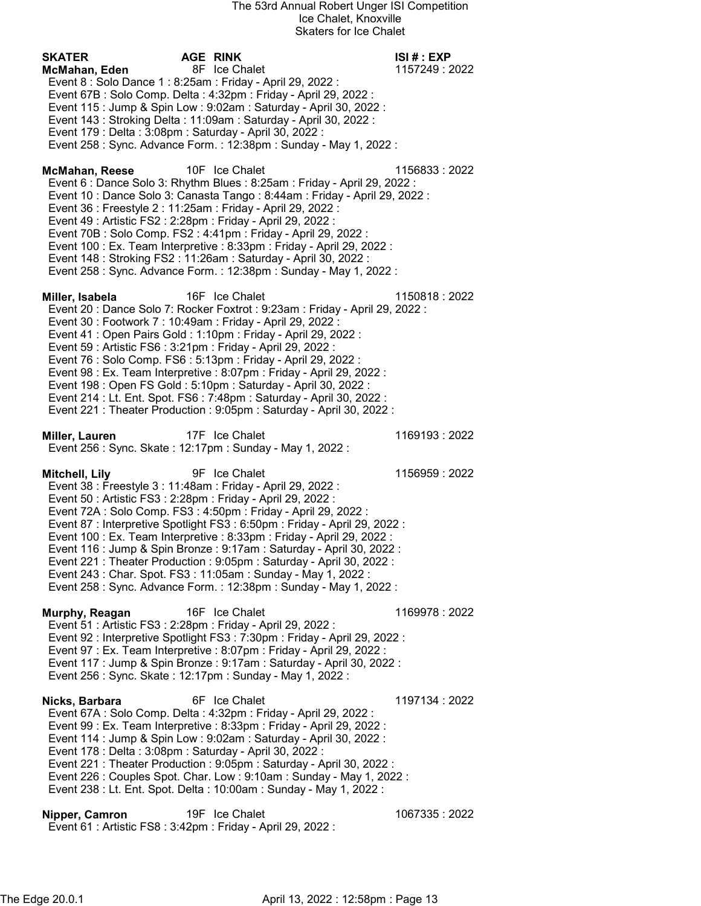| <b>SKATER</b><br>McMahan, Eden<br>Event 8 : Solo Dance 1 : 8:25am : Friday - April 29, 2022 :<br>Event 179 : Delta : 3:08pm : Saturday - April 30, 2022 : | <b>AGE RINK</b><br>8F Ice Chalet<br>Event 67B : Solo Comp. Delta : 4:32pm : Friday - April 29, 2022 :<br>Event 115 : Jump & Spin Low : 9:02am : Saturday - April 30, 2022 :<br>Event 143 : Stroking Delta : 11:09am : Saturday - April 30, 2022 :<br>Event 258 : Sync. Advance Form. : 12:38pm : Sunday - May 1, 2022 :                                                                                                                                                                                                            | ISI# : EXP<br>1157249 : 2022 |
|-----------------------------------------------------------------------------------------------------------------------------------------------------------|------------------------------------------------------------------------------------------------------------------------------------------------------------------------------------------------------------------------------------------------------------------------------------------------------------------------------------------------------------------------------------------------------------------------------------------------------------------------------------------------------------------------------------|------------------------------|
| <b>McMahan, Reese</b><br>Event 36 : Freestyle 2 : 11:25am : Friday - April 29, 2022 :<br>Event 49 : Artistic FS2 : 2:28pm : Friday - April 29, 2022 :     | 10F Ice Chalet<br>Event 6 : Dance Solo 3: Rhythm Blues : 8:25am : Friday - April 29, 2022 :<br>Event 10 : Dance Solo 3: Canasta Tango : 8:44am : Friday - April 29, 2022 :<br>Event 70B: Solo Comp. FS2: 4:41pm: Friday - April 29, 2022:<br>Event 100 : Ex. Team Interpretive : 8:33pm : Friday - April 29, 2022 :<br>Event 148 : Stroking FS2 : 11:26am : Saturday - April 30, 2022 :<br>Event 258 : Sync. Advance Form. : 12:38pm : Sunday - May 1, 2022 :                                                                      | 1156833: 2022                |
| Miller, Isabela<br>Event 30 : Footwork 7 : 10:49am : Friday - April 29, 2022 :<br>Event 59 : Artistic FS6 : 3:21pm : Friday - April 29, 2022 :            | 16F Ice Chalet<br>Event 20 : Dance Solo 7: Rocker Foxtrot : 9:23am : Friday - April 29, 2022 :<br>Event 41 : Open Pairs Gold : 1:10pm : Friday - April 29, 2022 :<br>Event 76 : Solo Comp. FS6 : 5:13pm : Friday - April 29, 2022 :<br>Event 98 : Ex. Team Interpretive : 8:07pm : Friday - April 29, 2022 :<br>Event 198 : Open FS Gold : 5:10pm : Saturday - April 30, 2022 :<br>Event 214 : Lt. Ent. Spot. FS6 : 7:48pm : Saturday - April 30, 2022 :<br>Event 221 : Theater Production : 9:05pm : Saturday - April 30, 2022 :  | 1150818:2022                 |
| Miller, Lauren<br>Event 256 : Sync. Skate : 12:17pm : Sunday - May 1, 2022 :                                                                              | 17F Ice Chalet                                                                                                                                                                                                                                                                                                                                                                                                                                                                                                                     | 1169193:2022                 |
| Mitchell, Lily<br>Event 38 : Freestyle 3 : 11:48am : Friday - April 29, 2022 :<br>Event 50 : Artistic FS3 : 2:28pm : Friday - April 29, 2022 :            | 9F Ice Chalet<br>Event 72A : Solo Comp. FS3 : 4:50pm : Friday - April 29, 2022 :<br>Event 87 : Interpretive Spotlight FS3 : 6:50pm : Friday - April 29, 2022 :<br>Event 100 : Ex. Team Interpretive : 8:33pm : Friday - April 29, 2022 :<br>Event 116 : Jump & Spin Bronze : 9:17am : Saturday - April 30, 2022 :<br>Event 221 : Theater Production : 9:05pm : Saturday - April 30, 2022 :<br>Event 243 : Char. Spot. FS3 : 11:05am : Sunday - May 1, 2022 :<br>Event 258 : Sync. Advance Form. : 12:38pm : Sunday - May 1, 2022 : | 1156959:2022                 |
| Murphy, Reagan<br>Event 51 : Artistic FS3 : 2:28pm : Friday - April 29, 2022 :<br>Event 256 : Sync. Skate : 12:17pm : Sunday - May 1, 2022 :              | 16F Ice Chalet<br>Event 92 : Interpretive Spotlight FS3 : 7:30pm : Friday - April 29, 2022 :<br>Event 97 : Ex. Team Interpretive : 8:07pm : Friday - April 29, 2022 :<br>Event 117 : Jump & Spin Bronze : 9:17am : Saturday - April 30, 2022 :                                                                                                                                                                                                                                                                                     | 1169978:2022                 |
| Nicks, Barbara<br>Event 178 : Delta : 3:08pm : Saturday - April 30, 2022 :                                                                                | 6F Ice Chalet<br>Event 67A : Solo Comp. Delta : 4:32pm : Friday - April 29, 2022 :<br>Event 99 : Ex. Team Interpretive : 8:33pm : Friday - April 29, 2022 :<br>Event 114 : Jump & Spin Low : 9:02am : Saturday - April 30, 2022 :<br>Event 221 : Theater Production : 9:05pm : Saturday - April 30, 2022 :<br>Event 226 : Couples Spot. Char. Low : 9:10am : Sunday - May 1, 2022 :<br>Event 238 : Lt. Ent. Spot. Delta : 10:00am : Sunday - May 1, 2022 :                                                                         | 1197134: 2022                |
| Nipper, Camron<br>Event 61 : Artistic FS8 : 3:42pm : Friday - April 29, 2022 :                                                                            | 19F Ice Chalet                                                                                                                                                                                                                                                                                                                                                                                                                                                                                                                     | 1067335 : 2022               |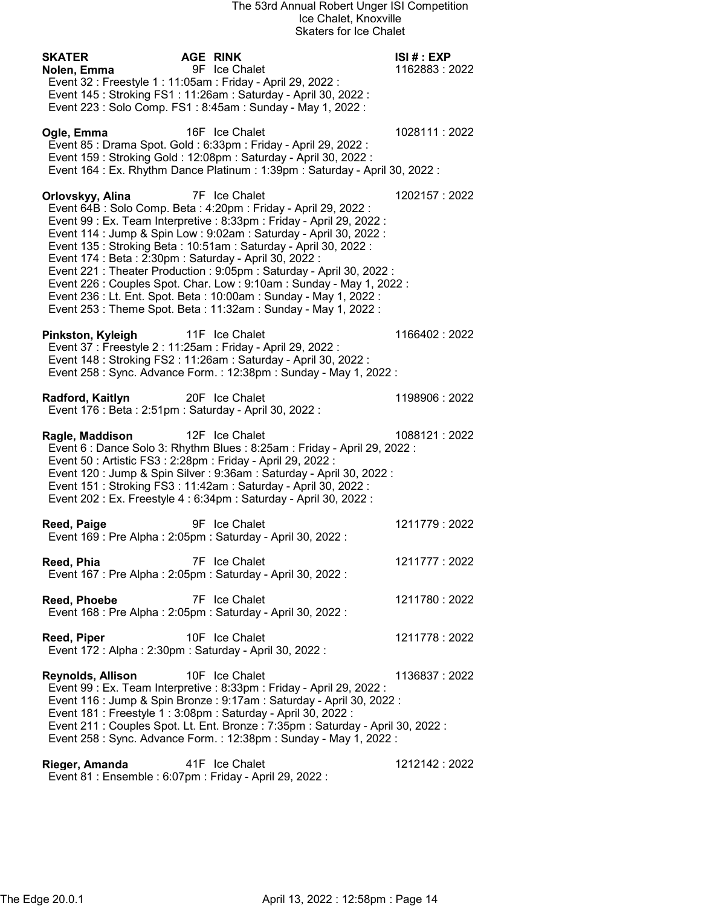| <b>SKATER</b><br>Nolen, Emma<br>Event 32 : Freestyle 1 : 11:05am : Friday - April 29, 2022 : | <b>AGE RINK</b><br>9F Ice Chalet                                                                                                                                                                                                                                                                                                                                                                                                                                                                                                                                                             | ISI# : EXP<br>1162883:2022 |
|----------------------------------------------------------------------------------------------|----------------------------------------------------------------------------------------------------------------------------------------------------------------------------------------------------------------------------------------------------------------------------------------------------------------------------------------------------------------------------------------------------------------------------------------------------------------------------------------------------------------------------------------------------------------------------------------------|----------------------------|
|                                                                                              | Event 145 : Stroking FS1 : 11:26am : Saturday - April 30, 2022 :<br>Event 223 : Solo Comp. FS1 : 8:45am : Sunday - May 1, 2022 :                                                                                                                                                                                                                                                                                                                                                                                                                                                             |                            |
| Ogle, Emma                                                                                   | 16F Ice Chalet<br>Event 85 : Drama Spot. Gold : 6:33pm : Friday - April 29, 2022 :<br>Event 159: Stroking Gold: 12:08pm: Saturday - April 30, 2022:<br>Event 164 : Ex. Rhythm Dance Platinum : 1:39pm : Saturday - April 30, 2022 :                                                                                                                                                                                                                                                                                                                                                          | 1028111 : 2022             |
| Orlovskyy, Alina<br>Event 174 : Beta : 2:30pm : Saturday - April 30, 2022 :                  | 7F Ice Chalet<br>Event 64B : Solo Comp. Beta : 4:20pm : Friday - April 29, 2022 :<br>Event 99 : Ex. Team Interpretive : 8:33pm : Friday - April 29, 2022 :<br>Event 114 : Jump & Spin Low : 9:02am : Saturday - April 30, 2022 :<br>Event 135: Stroking Beta: 10:51am: Saturday - April 30, 2022:<br>Event 221 : Theater Production : 9:05pm : Saturday - April 30, 2022 :<br>Event 226 : Couples Spot. Char. Low : 9:10am : Sunday - May 1, 2022 :<br>Event 236 : Lt. Ent. Spot. Beta : 10:00am : Sunday - May 1, 2022 :<br>Event 253 : Theme Spot. Beta : 11:32am : Sunday - May 1, 2022 : | 1202157:2022               |
| Pinkston, Kyleigh<br>Event 37 : Freestyle 2 : 11:25am : Friday - April 29, 2022 :            | 11F Ice Chalet<br>Event 148 : Stroking FS2 : 11:26am : Saturday - April 30, 2022 :<br>Event 258 : Sync. Advance Form. : 12:38pm : Sunday - May 1, 2022 :                                                                                                                                                                                                                                                                                                                                                                                                                                     | 1166402: 2022              |
| Radford, Kaitlyn<br>Event 176 : Beta : 2:51pm : Saturday - April 30, 2022 :                  | 20F Ice Chalet                                                                                                                                                                                                                                                                                                                                                                                                                                                                                                                                                                               | 1198906: 2022              |
| Ragle, Maddison<br>Event 50 : Artistic FS3 : 2:28pm : Friday - April 29, 2022 :              | 12F Ice Chalet<br>Event 6 : Dance Solo 3: Rhythm Blues : 8:25am : Friday - April 29, 2022 :<br>Event 120 : Jump & Spin Silver : 9:36am : Saturday - April 30, 2022 :<br>Event 151 : Stroking FS3 : 11:42am : Saturday - April 30, 2022 :<br>Event 202 : Ex. Freestyle 4 : 6:34pm : Saturday - April 30, 2022 :                                                                                                                                                                                                                                                                               | 1088121:2022               |
| Reed, Paige                                                                                  | 9F Ice Chalet<br>Event 169 : Pre Alpha : 2:05pm : Saturday - April 30, 2022 :                                                                                                                                                                                                                                                                                                                                                                                                                                                                                                                | 1211779:2022               |
| Reed, Phia                                                                                   | 7F Ice Chalet<br>Event 167 : Pre Alpha : 2:05pm : Saturday - April 30, 2022 :                                                                                                                                                                                                                                                                                                                                                                                                                                                                                                                | 1211777: 2022              |
| Reed, Phoebe                                                                                 | 7F Ice Chalet<br>Event 168 : Pre Alpha : 2:05pm : Saturday - April 30, 2022 :                                                                                                                                                                                                                                                                                                                                                                                                                                                                                                                | 1211780: 2022              |
| <b>Reed, Piper</b><br>Event 172 : Alpha : 2:30pm : Saturday - April 30, 2022 :               | 10F Ice Chalet                                                                                                                                                                                                                                                                                                                                                                                                                                                                                                                                                                               | 1211778 : 2022             |
| <b>Reynolds, Allison</b>                                                                     | 10F Ice Chalet<br>Event 99 : Ex. Team Interpretive : 8:33pm : Friday - April 29, 2022 :<br>Event 116 : Jump & Spin Bronze : 9:17am : Saturday - April 30, 2022 :<br>Event 181 : Freestyle 1 : 3:08pm : Saturday - April 30, 2022 :<br>Event 211 : Couples Spot. Lt. Ent. Bronze : 7:35pm : Saturday - April 30, 2022 :<br>Event 258 : Sync. Advance Form. : 12:38pm : Sunday - May 1, 2022 :                                                                                                                                                                                                 | 1136837:2022               |
|                                                                                              |                                                                                                                                                                                                                                                                                                                                                                                                                                                                                                                                                                                              |                            |

Rieger, Amanda 141F Ice Chalet 1212142 : 2022 Event 81 : Ensemble : 6:07pm : Friday - April 29, 2022 :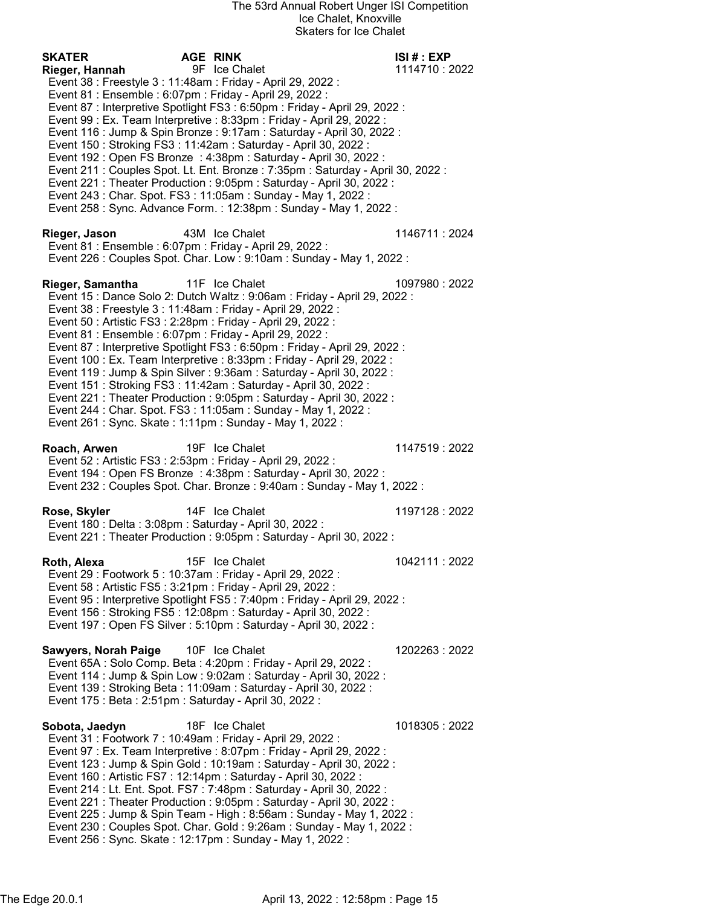SKATER AGE RINK ISI # : EXP Rieger, Hannah 1114710 : 2022 Event 38 : Freestyle 3 : 11:48am : Friday - April 29, 2022 : Event 81 : Ensemble : 6:07pm : Friday - April 29, 2022 : Event 87 : Interpretive Spotlight FS3 : 6:50pm : Friday - April 29, 2022 : Event 99 : Ex. Team Interpretive : 8:33pm : Friday - April 29, 2022 : Event 116 : Jump & Spin Bronze : 9:17am : Saturday - April 30, 2022 : Event 150 : Stroking FS3 : 11:42am : Saturday - April 30, 2022 : Event 192 : Open FS Bronze : 4:38pm : Saturday - April 30, 2022 : Event 211 : Couples Spot. Lt. Ent. Bronze : 7:35pm : Saturday - April 30, 2022 : Event 221 : Theater Production : 9:05pm : Saturday - April 30, 2022 : Event 243 : Char. Spot. FS3 : 11:05am : Sunday - May 1, 2022 : Event 258 : Sync. Advance Form. : 12:38pm : Sunday - May 1, 2022 : Rieger, Jason 43M Ice Chalet 1146711 : 2024 Event 81 : Ensemble : 6:07pm : Friday - April 29, 2022 : Event 226 : Couples Spot. Char. Low : 9:10am : Sunday - May 1, 2022 : Rieger, Samantha 11F Ice Chalet 1097980 : 2022 Event 15 : Dance Solo 2: Dutch Waltz : 9:06am : Friday - April 29, 2022 : Event 38 : Freestyle 3 : 11:48am : Friday - April 29, 2022 : Event 50 : Artistic FS3 : 2:28pm : Friday - April 29, 2022 : Event 81 : Ensemble : 6:07pm : Friday - April 29, 2022 : Event 87 : Interpretive Spotlight FS3 : 6:50pm : Friday - April 29, 2022 : Event 100 : Ex. Team Interpretive : 8:33pm : Friday - April 29, 2022 : Event 119 : Jump & Spin Silver : 9:36am : Saturday - April 30, 2022 : Event 151 : Stroking FS3 : 11:42am : Saturday - April 30, 2022 : Event 221 : Theater Production : 9:05pm : Saturday - April 30, 2022 : Event 244 : Char. Spot. FS3 : 11:05am : Sunday - May 1, 2022 : Event 261 : Sync. Skate : 1:11pm : Sunday - May 1, 2022 : Roach, Arwen 19F Ice Chalet 1147519 : 2022 Event 52 : Artistic FS3 : 2:53pm : Friday - April 29, 2022 : Event 194 : Open FS Bronze : 4:38pm : Saturday - April 30, 2022 : Event 232 : Couples Spot. Char. Bronze : 9:40am : Sunday - May 1, 2022 : Rose, Skyler 14F Ice Chalet 1197128 : 2022 Event 180 : Delta : 3:08pm : Saturday - April 30, 2022 : Event 221 : Theater Production : 9:05pm : Saturday - April 30, 2022 : **Roth, Alexa** 15F Ice Chalet 1042111 : 2022 Event 29 : Footwork 5 : 10:37am : Friday - April 29, 2022 : Event 58 : Artistic FS5 : 3:21pm : Friday - April 29, 2022 : Event 95 : Interpretive Spotlight FS5 : 7:40pm : Friday - April 29, 2022 : Event 156 : Stroking FS5 : 12:08pm : Saturday - April 30, 2022 : Event 197 : Open FS Silver : 5:10pm : Saturday - April 30, 2022 : Sawyers, Norah Paige 10F Ice Chalet 1202263 : 2022 Event 65A : Solo Comp. Beta : 4:20pm : Friday - April 29, 2022 : Event 114 : Jump & Spin Low : 9:02am : Saturday - April 30, 2022 : Event 139 : Stroking Beta : 11:09am : Saturday - April 30, 2022 : Event 175 : Beta : 2:51pm : Saturday - April 30, 2022 : Sobota, Jaedyn 18F Ice Chalet 1018305 : 2022 Event 31 : Footwork 7 : 10:49am : Friday - April 29, 2022 : Event 97 : Ex. Team Interpretive : 8:07pm : Friday - April 29, 2022 : Event 123 : Jump & Spin Gold : 10:19am : Saturday - April 30, 2022 : Event 160 : Artistic FS7 : 12:14pm : Saturday - April 30, 2022 : Event 214 : Lt. Ent. Spot. FS7 : 7:48pm : Saturday - April 30, 2022 : Event 221 : Theater Production : 9:05pm : Saturday - April 30, 2022 : Event 225 : Jump & Spin Team - High : 8:56am : Sunday - May 1, 2022 : Event 230 : Couples Spot. Char. Gold : 9:26am : Sunday - May 1, 2022 : Event 256 : Sync. Skate : 12:17pm : Sunday - May 1, 2022 :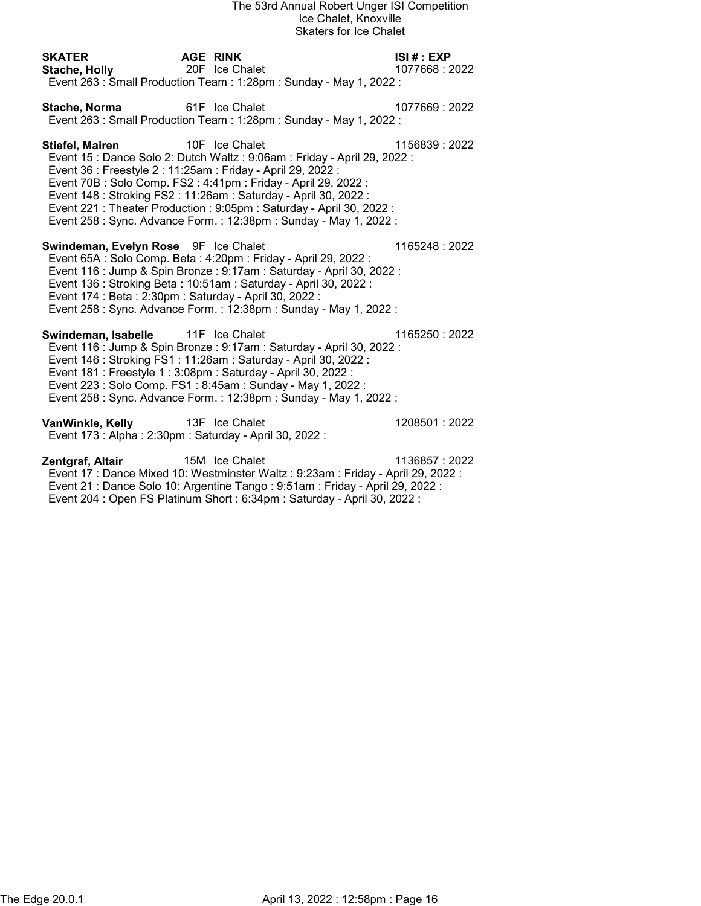| SKATER<br>Stache, Holly 20F Ice Chalet                                                                | <b>AGE RINK</b><br>Event 263 : Small Production Team : 1:28pm : Sunday - May 1, 2022 :                                                                                                                                                                                                                                                                      | ISI# : EXP<br>1077668 : 2022 |
|-------------------------------------------------------------------------------------------------------|-------------------------------------------------------------------------------------------------------------------------------------------------------------------------------------------------------------------------------------------------------------------------------------------------------------------------------------------------------------|------------------------------|
| Stache, Norma 61F Ice Chalet                                                                          | Event 263 : Small Production Team : 1:28pm : Sunday - May 1, 2022 :                                                                                                                                                                                                                                                                                         | 1077669: 2022                |
| <b>Stiefel, Mairen</b> 10F Ice Chalet<br>Event 36 : Freestyle 2 : 11:25am : Friday - April 29, 2022 : | Event 15 : Dance Solo 2: Dutch Waltz : 9:06am : Friday - April 29, 2022 :<br>Event 70B: Solo Comp. FS2: 4:41pm: Friday - April 29, 2022:<br>Event 148 : Stroking FS2 : 11:26am : Saturday - April 30, 2022 :<br>Event 221 : Theater Production : 9:05pm : Saturday - April 30, 2022 :<br>Event 258 : Sync. Advance Form. : 12:38pm : Sunday - May 1, 2022 : | 1156839:2022                 |
| Swindeman, Evelyn Rose 9F Ice Chalet<br>Event 174 : Beta : 2:30pm : Saturday - April 30, 2022 :       | Event 65A : Solo Comp. Beta : 4:20pm : Friday - April 29, 2022 :<br>Event 116 : Jump & Spin Bronze : 9:17am : Saturday - April 30, 2022 :<br>Event 136 : Stroking Beta : 10:51am : Saturday - April 30, 2022 :<br>Event 258 : Sync. Advance Form. : 12:38pm : Sunday - May 1, 2022 :                                                                        | 1165248 : 2022               |
| Swindeman, Isabelle 11F Ice Chalet                                                                    | Event 116 : Jump & Spin Bronze : 9:17am : Saturday - April 30, 2022 :<br>Event 146 : Stroking FS1 : 11:26am : Saturday - April 30, 2022 :<br>Event 181 : Freestyle 1 : 3:08pm : Saturday - April 30, 2022 :<br>Event 223 : Solo Comp. FS1 : 8:45am : Sunday - May 1, 2022 :<br>Event 258 : Sync. Advance Form. : 12:38pm : Sunday - May 1, 2022 :           | 1165250 : 2022               |
| VanWinkle, Kelly 13F Ice Chalet<br>Event 173 : Alpha : 2:30pm : Saturday - April 30, 2022 :           |                                                                                                                                                                                                                                                                                                                                                             | 1208501:2022                 |

**Zentgraf, Altair** 15M Ice Chalet 1136857 : 2022 Event 17 : Dance Mixed 10: Westminster Waltz : 9:23am : Friday - April 29, 2022 : Event 21 : Dance Solo 10: Argentine Tango : 9:51am : Friday - April 29, 2022 : Event 204 : Open FS Platinum Short : 6:34pm : Saturday - April 30, 2022 :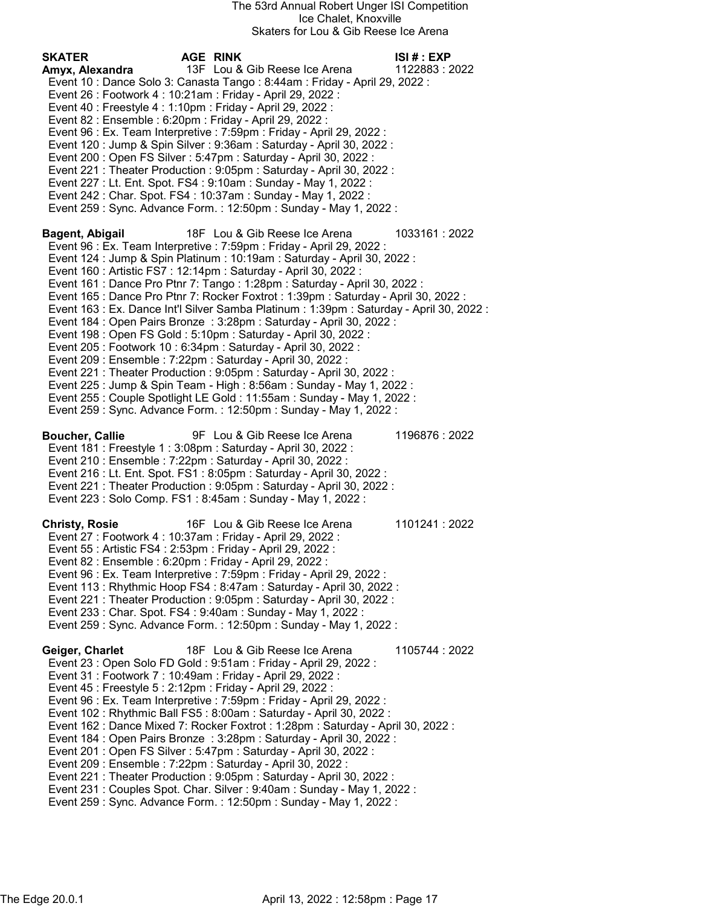| <b>SKATER</b><br>Amyx, Alexandra | AGE RINK<br>13F Lou & Gib Reese Ice Arena<br>Event 10 : Dance Solo 3: Canasta Tango : 8:44am : Friday - April 29, 2022 :<br>Event 26 : Footwork 4 : 10:21am : Friday - April 29, 2022 :<br>Event 40 : Freestyle 4 : 1:10pm : Friday - April 29, 2022 :<br>Event 82 : Ensemble : 6:20pm : Friday - April 29, 2022 :<br>Event 96 : Ex. Team Interpretive : 7:59pm : Friday - April 29, 2022 :<br>Event 120 : Jump & Spin Silver : 9:36am : Saturday - April 30, 2022 :<br>Event 200 : Open FS Silver : 5:47pm : Saturday - April 30, 2022 :<br>Event 221 : Theater Production : 9:05pm : Saturday - April 30, 2022 :<br>Event 227 : Lt. Ent. Spot. FS4 : 9:10am : Sunday - May 1, 2022 :<br>Event 242 : Char. Spot. FS4 : 10:37am : Sunday - May 1, 2022 :<br>Event 259 : Sync. Advance Form. : 12:50pm : Sunday - May 1, 2022 :                                                                                                                                                                                                                                                                         | ISI # : EXP<br>1122883: 2022 |
|----------------------------------|--------------------------------------------------------------------------------------------------------------------------------------------------------------------------------------------------------------------------------------------------------------------------------------------------------------------------------------------------------------------------------------------------------------------------------------------------------------------------------------------------------------------------------------------------------------------------------------------------------------------------------------------------------------------------------------------------------------------------------------------------------------------------------------------------------------------------------------------------------------------------------------------------------------------------------------------------------------------------------------------------------------------------------------------------------------------------------------------------------|------------------------------|
| Bagent, Abigail                  | 18F Lou & Gib Reese Ice Arena<br>Event 96 : Ex. Team Interpretive : 7:59pm : Friday - April 29, 2022 :<br>Event 124 : Jump & Spin Platinum : 10:19am : Saturday - April 30, 2022 :<br>Event 160 : Artistic FS7 : 12:14pm : Saturday - April 30, 2022 :<br>Event 161 : Dance Pro Ptnr 7: Tango : 1:28pm : Saturday - April 30, 2022 :<br>Event 165 : Dance Pro Ptnr 7: Rocker Foxtrot : 1:39pm : Saturday - April 30, 2022 :<br>Event 163 : Ex. Dance Int'l Silver Samba Platinum : 1:39pm : Saturday - April 30, 2022 :<br>Event 184 : Open Pairs Bronze : 3:28pm : Saturday - April 30, 2022 :<br>Event 198 : Open FS Gold : 5:10pm : Saturday - April 30, 2022 :<br>Event 205 : Footwork 10 : 6:34pm : Saturday - April 30, 2022 :<br>Event 209 : Ensemble : 7:22pm : Saturday - April 30, 2022 :<br>Event 221 : Theater Production : 9:05pm : Saturday - April 30, 2022 :<br>Event 225 : Jump & Spin Team - High : 8:56am : Sunday - May 1, 2022 :<br>Event 255 : Couple Spotlight LE Gold : 11:55am : Sunday - May 1, 2022 :<br>Event 259 : Sync. Advance Form. : 12:50pm : Sunday - May 1, 2022 : | 1033161:2022                 |
| <b>Boucher, Callie</b>           | 9F Lou & Gib Reese Ice Arena<br>Event 181 : Freestyle 1 : 3:08pm : Saturday - April 30, 2022 :<br>Event 210 : Ensemble : 7:22pm : Saturday - April 30, 2022 :<br>Event 216 : Lt. Ent. Spot. FS1 : 8:05pm : Saturday - April 30, 2022 :<br>Event 221 : Theater Production : 9:05pm : Saturday - April 30, 2022 :<br>Event 223 : Solo Comp. FS1 : 8:45am : Sunday - May 1, 2022 :                                                                                                                                                                                                                                                                                                                                                                                                                                                                                                                                                                                                                                                                                                                        | 1196876: 2022                |
| <b>Christy, Rosie</b>            | 16F Lou & Gib Reese Ice Arena<br>Event 27 : Footwork 4 : 10:37am : Friday - April 29, 2022 :<br>Event 55: Artistic FS4: 2:53pm: Friday - April 29, 2022:<br>Event 82 : Ensemble : 6:20pm : Friday - April 29, 2022 :<br>Event 96 : Ex. Team Interpretive : 7:59pm : Friday - April 29, 2022 :<br>Event 113: Rhythmic Hoop FS4: 8:47am: Saturday - April 30, 2022:<br>Event 221 : Theater Production : 9:05pm : Saturday - April 30, 2022 :<br>Event 233 : Char. Spot. FS4 : 9:40am : Sunday - May 1, 2022 :<br>Event 259 : Sync. Advance Form. : 12:50pm : Sunday - May 1, 2022 :                                                                                                                                                                                                                                                                                                                                                                                                                                                                                                                      | 1101241:2022                 |
| Geiger, Charlet                  | 18F Lou & Gib Reese Ice Arena<br>Event 23 : Open Solo FD Gold : 9:51am : Friday - April 29, 2022 :<br>Event 31 : Footwork 7 : 10:49am : Friday - April 29, 2022 :<br>Event 45 : Freestyle 5 : 2:12pm : Friday - April 29, 2022 :<br>Event 96 : Ex. Team Interpretive : 7:59pm : Friday - April 29, 2022 :<br>Event 102 : Rhythmic Ball FS5 : 8:00am : Saturday - April 30, 2022 :<br>Event 162 : Dance Mixed 7: Rocker Foxtrot : 1:28pm : Saturday - April 30, 2022 :<br>Event 184 : Open Pairs Bronze : 3:28pm : Saturday - April 30, 2022 :<br>Event 201: Open FS Silver: 5:47pm: Saturday - April 30, 2022:<br>Event 209 : Ensemble : 7:22pm : Saturday - April 30, 2022 :<br>Event 221 : Theater Production : 9:05pm : Saturday - April 30, 2022 :<br>Event 231 : Couples Spot. Char. Silver : 9:40am : Sunday - May 1, 2022 :<br>Event 259 : Sync. Advance Form. : 12:50pm : Sunday - May 1, 2022 :                                                                                                                                                                                               | 1105744 : 2022               |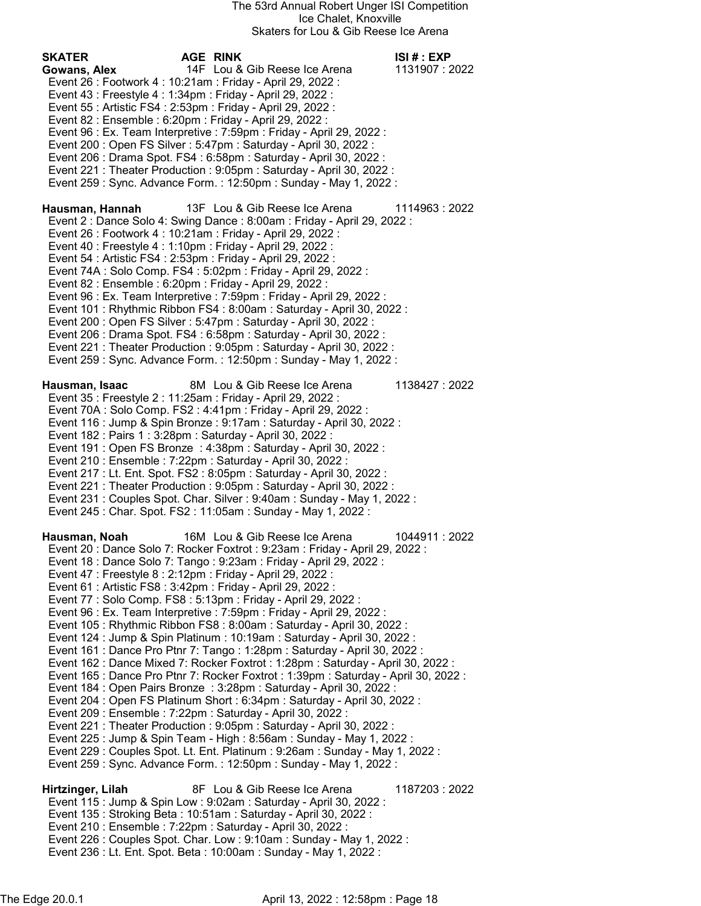SKATER AGE RINK ISI # : EXP Gowans, Alex 14F Lou & Gib Reese Ice Arena 1131907 : 2022 Event 26 : Footwork 4 : 10:21am : Friday - April 29, 2022 : Event 43 : Freestyle 4 : 1:34pm : Friday - April 29, 2022 : Event 55 : Artistic FS4 : 2:53pm : Friday - April 29, 2022 : Event 82 : Ensemble : 6:20pm : Friday - April 29, 2022 : Event 96 : Ex. Team Interpretive : 7:59pm : Friday - April 29, 2022 : Event 200 : Open FS Silver : 5:47pm : Saturday - April 30, 2022 : Event 206 : Drama Spot. FS4 : 6:58pm : Saturday - April 30, 2022 : Event 221 : Theater Production : 9:05pm : Saturday - April 30, 2022 : Event 259 : Sync. Advance Form. : 12:50pm : Sunday - May 1, 2022 : Hausman, Hannah 13F Lou & Gib Reese Ice Arena 1114963 : 2022 Event 2 : Dance Solo 4: Swing Dance : 8:00am : Friday - April 29, 2022 : Event 26 : Footwork 4 : 10:21am : Friday - April 29, 2022 : Event 40 : Freestyle 4 : 1:10pm : Friday - April 29, 2022 : Event 54 : Artistic FS4 : 2:53pm : Friday - April 29, 2022 : Event 74A : Solo Comp. FS4 : 5:02pm : Friday - April 29, 2022 : Event 82 : Ensemble : 6:20pm : Friday - April 29, 2022 : Event 96 : Ex. Team Interpretive : 7:59pm : Friday - April 29, 2022 : Event 101 : Rhythmic Ribbon FS4 : 8:00am : Saturday - April 30, 2022 : Event 200 : Open FS Silver : 5:47pm : Saturday - April 30, 2022 : Event 206 : Drama Spot. FS4 : 6:58pm : Saturday - April 30, 2022 : Event 221 : Theater Production : 9:05pm : Saturday - April 30, 2022 : Event 259 : Sync. Advance Form. : 12:50pm : Sunday - May 1, 2022 : Hausman, Isaac 8M Lou & Gib Reese Ice Arena 1138427 : 2022 Event 35 : Freestyle 2 : 11:25am : Friday - April 29, 2022 : Event 70A : Solo Comp. FS2 : 4:41pm : Friday - April 29, 2022 : Event 116 : Jump & Spin Bronze : 9:17am : Saturday - April 30, 2022 : Event 182 : Pairs 1 : 3:28pm : Saturday - April 30, 2022 : Event 191 : Open FS Bronze : 4:38pm : Saturday - April 30, 2022 : Event 210 : Ensemble : 7:22pm : Saturday - April 30, 2022 : Event 217 : Lt. Ent. Spot. FS2 : 8:05pm : Saturday - April 30, 2022 : Event 221 : Theater Production : 9:05pm : Saturday - April 30, 2022 : Event 231 : Couples Spot. Char. Silver : 9:40am : Sunday - May 1, 2022 : Event 245 : Char. Spot. FS2 : 11:05am : Sunday - May 1, 2022 : Hausman, Noah 16M Lou & Gib Reese Ice Arena 1044911 : 2022 Event 20 : Dance Solo 7: Rocker Foxtrot : 9:23am : Friday - April 29, 2022 : Event 18 : Dance Solo 7: Tango : 9:23am : Friday - April 29, 2022 : Event 47 : Freestyle 8 : 2:12pm : Friday - April 29, 2022 : Event 61 : Artistic FS8 : 3:42pm : Friday - April 29, 2022 : Event 77 : Solo Comp. FS8 : 5:13pm : Friday - April 29, 2022 : Event 96 : Ex. Team Interpretive : 7:59pm : Friday - April 29, 2022 : Event 105 : Rhythmic Ribbon FS8 : 8:00am : Saturday - April 30, 2022 : Event 124 : Jump & Spin Platinum : 10:19am : Saturday - April 30, 2022 : Event 161 : Dance Pro Ptnr 7: Tango : 1:28pm : Saturday - April 30, 2022 : Event 162 : Dance Mixed 7: Rocker Foxtrot : 1:28pm : Saturday - April 30, 2022 : Event 165 : Dance Pro Ptnr 7: Rocker Foxtrot : 1:39pm : Saturday - April 30, 2022 : Event 184 : Open Pairs Bronze : 3:28pm : Saturday - April 30, 2022 : Event 204 : Open FS Platinum Short : 6:34pm : Saturday - April 30, 2022 : Event 209 : Ensemble : 7:22pm : Saturday - April 30, 2022 : Event 221 : Theater Production : 9:05pm : Saturday - April 30, 2022 : Event 225 : Jump & Spin Team - High : 8:56am : Sunday - May 1, 2022 : Event 229 : Couples Spot. Lt. Ent. Platinum : 9:26am : Sunday - May 1, 2022 : Event 259 : Sync. Advance Form. : 12:50pm : Sunday - May 1, 2022 : Hirtzinger, Lilah 8F Lou & Gib Reese Ice Arena 1187203 : 2022 Event 115 : Jump & Spin Low : 9:02am : Saturday - April 30, 2022 : Event 135 : Stroking Beta : 10:51am : Saturday - April 30, 2022 : Event 210 : Ensemble : 7:22pm : Saturday - April 30, 2022 : Event 226 : Couples Spot. Char. Low : 9:10am : Sunday - May 1, 2022 : Event 236 : Lt. Ent. Spot. Beta : 10:00am : Sunday - May 1, 2022 :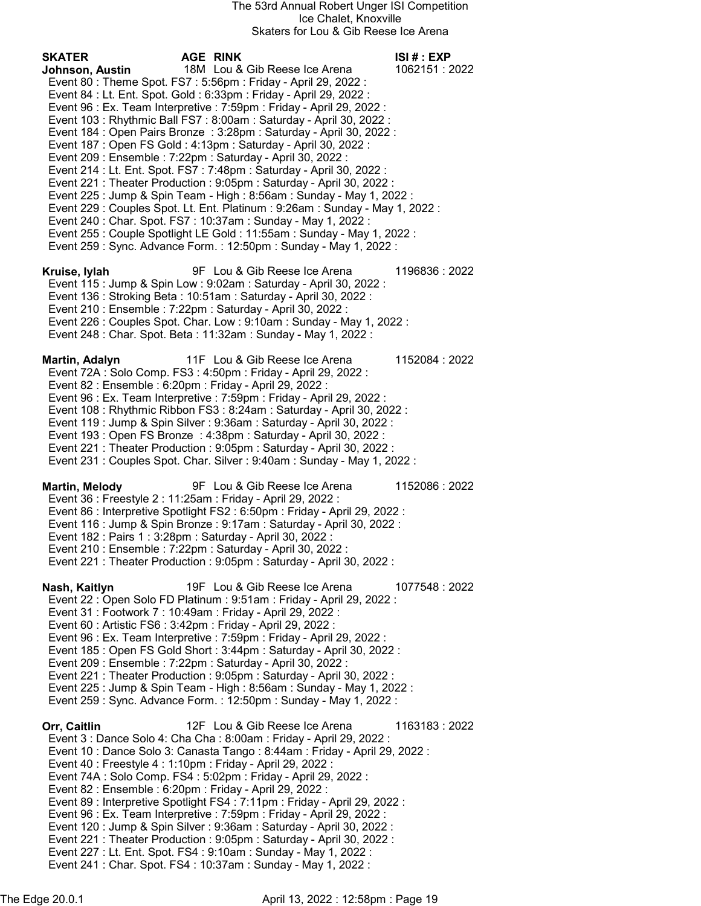SKATER AGE RINK ISI # : EXP Johnson, Austin 18M Lou & Gib Reese Ice Arena 1062151 : 2022 Event 80 : Theme Spot. FS7 : 5:56pm : Friday - April 29, 2022 : Event 84 : Lt. Ent. Spot. Gold : 6:33pm : Friday - April 29, 2022 : Event 96 : Ex. Team Interpretive : 7:59pm : Friday - April 29, 2022 : Event 103 : Rhythmic Ball FS7 : 8:00am : Saturday - April 30, 2022 : Event 184 : Open Pairs Bronze : 3:28pm : Saturday - April 30, 2022 : Event 187 : Open FS Gold : 4:13pm : Saturday - April 30, 2022 : Event 209 : Ensemble : 7:22pm : Saturday - April 30, 2022 : Event 214 : Lt. Ent. Spot. FS7 : 7:48pm : Saturday - April 30, 2022 : Event 221 : Theater Production : 9:05pm : Saturday - April 30, 2022 : Event 225 : Jump & Spin Team - High : 8:56am : Sunday - May 1, 2022 : Event 229 : Couples Spot. Lt. Ent. Platinum : 9:26am : Sunday - May 1, 2022 : Event 240 : Char. Spot. FS7 : 10:37am : Sunday - May 1, 2022 : Event 255 : Couple Spotlight LE Gold : 11:55am : Sunday - May 1, 2022 : Event 259 : Sync. Advance Form. : 12:50pm : Sunday - May 1, 2022 : Kruise, Iylah 9F Lou & Gib Reese Ice Arena 1196836 : 2022 Event 115 : Jump & Spin Low : 9:02am : Saturday - April 30, 2022 : Event 136 : Stroking Beta : 10:51am : Saturday - April 30, 2022 : Event 210 : Ensemble : 7:22pm : Saturday - April 30, 2022 : Event 226 : Couples Spot. Char. Low : 9:10am : Sunday - May 1, 2022 : Event 248 : Char. Spot. Beta : 11:32am : Sunday - May 1, 2022 : Martin, Adalyn 11F Lou & Gib Reese Ice Arena 1152084 : 2022 Event 72A : Solo Comp. FS3 : 4:50pm : Friday - April 29, 2022 : Event 82 : Ensemble : 6:20pm : Friday - April 29, 2022 : Event 96 : Ex. Team Interpretive : 7:59pm : Friday - April 29, 2022 : Event 108 : Rhythmic Ribbon FS3 : 8:24am : Saturday - April 30, 2022 : Event 119 : Jump & Spin Silver : 9:36am : Saturday - April 30, 2022 : Event 193 : Open FS Bronze : 4:38pm : Saturday - April 30, 2022 : Event 221 : Theater Production : 9:05pm : Saturday - April 30, 2022 : Event 231 : Couples Spot. Char. Silver : 9:40am : Sunday - May 1, 2022 : Martin, Melody 9F Lou & Gib Reese Ice Arena 1152086 : 2022 Event 36 : Freestyle 2 : 11:25am : Friday - April 29, 2022 : Event 86 : Interpretive Spotlight FS2 : 6:50pm : Friday - April 29, 2022 : Event 116 : Jump & Spin Bronze : 9:17am : Saturday - April 30, 2022 : Event 182 : Pairs 1 : 3:28pm : Saturday - April 30, 2022 : Event 210 : Ensemble : 7:22pm : Saturday - April 30, 2022 : Event 221 : Theater Production : 9:05pm : Saturday - April 30, 2022 : Nash, Kaitlyn 19F Lou & Gib Reese Ice Arena 1077548 : 2022 Event 22 : Open Solo FD Platinum : 9:51am : Friday - April 29, 2022 : Event 31 : Footwork 7 : 10:49am : Friday - April 29, 2022 : Event 60 : Artistic FS6 : 3:42pm : Friday - April 29, 2022 : Event 96 : Ex. Team Interpretive : 7:59pm : Friday - April 29, 2022 : Event 185 : Open FS Gold Short : 3:44pm : Saturday - April 30, 2022 : Event 209 : Ensemble : 7:22pm : Saturday - April 30, 2022 : Event 221 : Theater Production : 9:05pm : Saturday - April 30, 2022 : Event 225 : Jump & Spin Team - High : 8:56am : Sunday - May 1, 2022 : Event 259 : Sync. Advance Form. : 12:50pm : Sunday - May 1, 2022 : Orr, Caitlin 12F Lou & Gib Reese Ice Arena 1163183 : 2022 Event 3 : Dance Solo 4: Cha Cha : 8:00am : Friday - April 29, 2022 : Event 10 : Dance Solo 3: Canasta Tango : 8:44am : Friday - April 29, 2022 : Event 40 : Freestyle 4 : 1:10pm : Friday - April 29, 2022 : Event 74A : Solo Comp. FS4 : 5:02pm : Friday - April 29, 2022 : Event 82 : Ensemble : 6:20pm : Friday - April 29, 2022 : Event 89 : Interpretive Spotlight FS4 : 7:11pm : Friday - April 29, 2022 : Event 96 : Ex. Team Interpretive : 7:59pm : Friday - April 29, 2022 : Event 120 : Jump & Spin Silver : 9:36am : Saturday - April 30, 2022 : Event 221 : Theater Production : 9:05pm : Saturday - April 30, 2022 : Event 227 : Lt. Ent. Spot. FS4 : 9:10am : Sunday - May 1, 2022 : Event 241 : Char. Spot. FS4 : 10:37am : Sunday - May 1, 2022 :